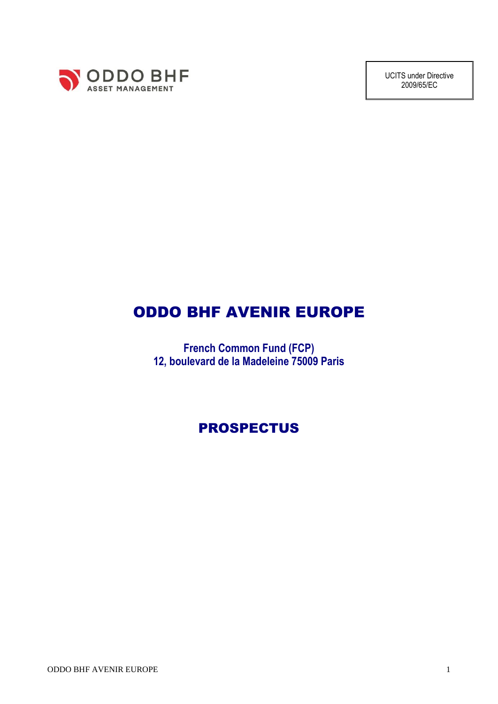

UCITS under Directive 2009/65/EC

# ODDO BHF AVENIR EUROPE

**French Common Fund (FCP) 12, boulevard de la Madeleine 75009 Paris**

# PROSPECTUS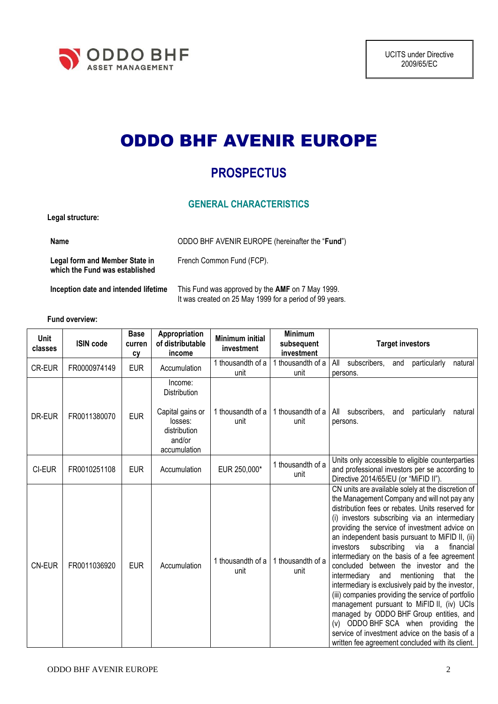

# ODDO BHF AVENIR EUROPE

# **PROSPECTUS**

# **GENERAL CHARACTERISTICS**

French Common Fund (FCP).

**Legal structure:**

**Name** ODDO BHF AVENIR EUROPE (hereinafter the "**Fund**")

**Legal form and Member State in which the Fund was established**

**Inception date and intended lifetime** This Fund was approved by the **AMF** on 7 May 1999.

It was created on 25 May 1999 for a period of 99 years.

**Fund overview:**

| Unit<br>classes | <b>ISIN code</b> | <b>Base</b><br>curren<br>cy | Appropriation<br>of distributable<br>income                                                      | <b>Minimum initial</b><br>investment | <b>Minimum</b><br>subsequent<br>investment | <b>Target investors</b>                                                                                                                                                                                                                                                                                                                                                                                                                                                                                                                                                                                                                                                                                                                                                                                                                                        |
|-----------------|------------------|-----------------------------|--------------------------------------------------------------------------------------------------|--------------------------------------|--------------------------------------------|----------------------------------------------------------------------------------------------------------------------------------------------------------------------------------------------------------------------------------------------------------------------------------------------------------------------------------------------------------------------------------------------------------------------------------------------------------------------------------------------------------------------------------------------------------------------------------------------------------------------------------------------------------------------------------------------------------------------------------------------------------------------------------------------------------------------------------------------------------------|
| <b>CR-EUR</b>   | FR0000974149     | <b>EUR</b>                  | Accumulation                                                                                     | 1 thousandth of a<br>unit            | thousandth of a<br>unit                    | All<br>subscribers,<br>particularly<br>and<br>natural<br>persons.                                                                                                                                                                                                                                                                                                                                                                                                                                                                                                                                                                                                                                                                                                                                                                                              |
| DR-EUR          | FR0011380070     | <b>EUR</b>                  | Income:<br>Distribution<br>Capital gains or<br>losses:<br>distribution<br>and/or<br>accumulation | 1 thousandth of a<br>unit            | 1 thousandth of a<br>unit                  | subscribers,<br>particularly<br>All<br>and<br>natural<br>persons.                                                                                                                                                                                                                                                                                                                                                                                                                                                                                                                                                                                                                                                                                                                                                                                              |
| CI-EUR          | FR0010251108     | <b>EUR</b>                  | Accumulation                                                                                     | EUR 250,000*                         | 1 thousandth of a<br>unit                  | Units only accessible to eligible counterparties<br>and professional investors per se according to<br>Directive 2014/65/EU (or "MiFID II").                                                                                                                                                                                                                                                                                                                                                                                                                                                                                                                                                                                                                                                                                                                    |
| <b>CN-EUR</b>   | FR0011036920     | <b>EUR</b>                  | Accumulation                                                                                     | 1 thousandth of a<br>unit            | 1 thousandth of a<br>unit                  | CN units are available solely at the discretion of<br>the Management Company and will not pay any<br>distribution fees or rebates. Units reserved for<br>(i) investors subscribing via an intermediary<br>providing the service of investment advice on<br>an independent basis pursuant to MiFID II, (ii)<br>subscribing<br>investors<br>via<br>financial<br>a<br>intermediary on the basis of a fee agreement<br>concluded between the investor and the<br>mentioning<br>intermediary<br>and<br>that<br>the<br>intermediary is exclusively paid by the investor,<br>(iii) companies providing the service of portfolio<br>management pursuant to MiFID II, (iv) UCIs<br>managed by ODDO BHF Group entities, and<br>(v) ODDO BHF SCA when providing the<br>service of investment advice on the basis of a<br>written fee agreement concluded with its client. |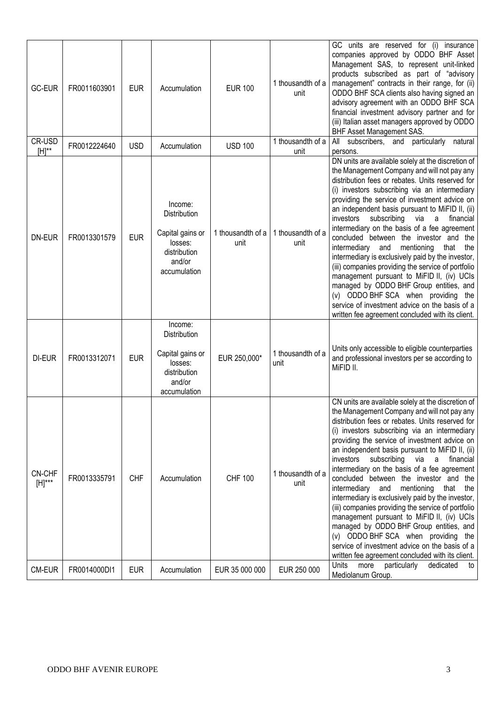| <b>GC-EUR</b>         | FR0011603901 | <b>EUR</b> | Accumulation                                                                                     | <b>EUR 100</b>            | 1 thousandth of a<br>unit | GC units are reserved for (i) insurance<br>companies approved by ODDO BHF Asset<br>Management SAS, to represent unit-linked<br>products subscribed as part of "advisory<br>management" contracts in their range, for (ii)<br>ODDO BHF SCA clients also having signed an<br>advisory agreement with an ODDO BHF SCA<br>financial investment advisory partner and for<br>(iii) Italian asset managers approved by ODDO<br><b>BHF Asset Management SAS.</b>                                                                                                                                                                                                                                                                                                                                                                                                       |
|-----------------------|--------------|------------|--------------------------------------------------------------------------------------------------|---------------------------|---------------------------|----------------------------------------------------------------------------------------------------------------------------------------------------------------------------------------------------------------------------------------------------------------------------------------------------------------------------------------------------------------------------------------------------------------------------------------------------------------------------------------------------------------------------------------------------------------------------------------------------------------------------------------------------------------------------------------------------------------------------------------------------------------------------------------------------------------------------------------------------------------|
| CR-USD<br>$[H]^**$    | FR0012224640 | <b>USD</b> | Accumulation                                                                                     | <b>USD 100</b>            | 1 thousandth of a<br>unit | subscribers, and particularly<br>All<br>natural<br>persons.                                                                                                                                                                                                                                                                                                                                                                                                                                                                                                                                                                                                                                                                                                                                                                                                    |
| DN-EUR                | FR0013301579 | <b>EUR</b> | Income:<br>Distribution<br>Capital gains or<br>losses:<br>distribution<br>and/or<br>accumulation | 1 thousandth of a<br>unit | 1 thousandth of a<br>unit | DN units are available solely at the discretion of<br>the Management Company and will not pay any<br>distribution fees or rebates. Units reserved for<br>(i) investors subscribing via an intermediary<br>providing the service of investment advice on<br>an independent basis pursuant to MiFID II, (ii)<br>investors<br>subscribing<br>via<br>financial<br>a<br>intermediary on the basis of a fee agreement<br>concluded between the investor and the<br>intermediary<br>and<br>mentioning<br>that<br>the<br>intermediary is exclusively paid by the investor,<br>(iii) companies providing the service of portfolio<br>management pursuant to MiFID II, (iv) UCIs<br>managed by ODDO BHF Group entities, and<br>(v) ODDO BHF SCA when providing the<br>service of investment advice on the basis of a<br>written fee agreement concluded with its client. |
| DI-EUR                | FR0013312071 | <b>EUR</b> | Income:<br>Distribution<br>Capital gains or<br>losses:<br>distribution<br>and/or<br>accumulation | EUR 250,000*              | 1 thousandth of a<br>unit | Units only accessible to eligible counterparties<br>and professional investors per se according to<br>MiFID II.                                                                                                                                                                                                                                                                                                                                                                                                                                                                                                                                                                                                                                                                                                                                                |
| CN-CHF<br>$[H]^{***}$ | FR0013335791 | <b>CHF</b> | Accumulation                                                                                     | <b>CHF 100</b>            | 1 thousandth of a<br>unit | CN units are available solely at the discretion of<br>the Management Company and will not pay any<br>distribution fees or rebates. Units reserved for<br>(i) investors subscribing via an intermediary<br>providing the service of investment advice on<br>an independent basis pursuant to MiFID II, (ii)<br>subscribing via a financial<br>investors<br>intermediary on the basis of a fee agreement<br>concluded between the investor and the<br>intermediary<br>and<br>mentioning<br>that the<br>intermediary is exclusively paid by the investor,<br>(iii) companies providing the service of portfolio<br>management pursuant to MiFID II, (iv) UCIs<br>managed by ODDO BHF Group entities, and<br>(v) ODDO BHF SCA when providing the<br>service of investment advice on the basis of a<br>written fee agreement concluded with its client.             |
| CM-EUR                | FR0014000DI1 | <b>EUR</b> | Accumulation                                                                                     | EUR 35 000 000            | EUR 250 000               | Units<br>more<br>particularly<br>dedicated<br>to<br>Mediolanum Group.                                                                                                                                                                                                                                                                                                                                                                                                                                                                                                                                                                                                                                                                                                                                                                                          |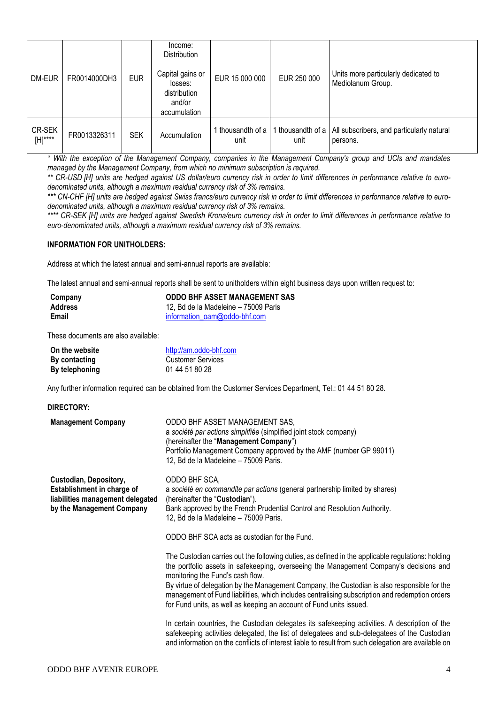| DM-EUR            | FR0014000DH3 | <b>EUR</b> | Income:<br><b>Distribution</b><br>Capital gains or<br>losses:<br>distribution<br>and/or<br>accumulation | EUR 15 000 000          | EUR 250 000             | Units more particularly dedicated to<br>Mediolanum Group. |
|-------------------|--------------|------------|---------------------------------------------------------------------------------------------------------|-------------------------|-------------------------|-----------------------------------------------------------|
| CR-SEK<br>[H]**** | FR0013326311 | <b>SEK</b> | Accumulation                                                                                            | thousandth of a<br>unit | thousandth of a<br>unit | All subscribers, and particularly natural<br>persons.     |

*\* With the exception of the Management Company, companies in the Management Company's group and UCIs and mandates managed by the Management Company, from which no minimum subscription is required.*

*\*\* CR-USD [H] units are hedged against US dollar/euro currency risk in order to limit differences in performance relative to eurodenominated units, although a maximum residual currency risk of 3% remains.*

\*\*\* CN-CHF [H] units are hedged against Swiss francs/euro currency risk in order to limit differences in performance relative to euro*denominated units, although a maximum residual currency risk of 3% remains.*

*\*\*\*\* CR-SEK [H] units are hedged against Swedish Krona/euro currency risk in order to limit differences in performance relative to euro-denominated units, although a maximum residual currency risk of 3% remains.*

#### **INFORMATION FOR UNITHOLDERS:**

Address at which the latest annual and semi-annual reports are available:

The latest annual and semi-annual reports shall be sent to unitholders within eight business days upon written request to:

| Company | <b>ODDO BHF ASSET MANAGEMENT SAS</b> |
|---------|--------------------------------------|
| Address | 12, Bd de la Madeleine – 75009 Paris |
| Email   | information oam@oddo-bhf.com         |

These documents are also available:

| On the website       | http://am.oddo-bhf.com |
|----------------------|------------------------|
| <b>By contacting</b> | Customer Services      |
| By telephoning       | 01 44 51 80 28         |

Any further information required can be obtained from the Customer Services Department, Tel.: 01 44 51 80 28.

| DIRECTORY:                                                                                                            |                                                                                                                                                                                                                                                                                                                                                                                                                                                                                                          |
|-----------------------------------------------------------------------------------------------------------------------|----------------------------------------------------------------------------------------------------------------------------------------------------------------------------------------------------------------------------------------------------------------------------------------------------------------------------------------------------------------------------------------------------------------------------------------------------------------------------------------------------------|
| <b>Management Company</b>                                                                                             | ODDO BHF ASSET MANAGEMENT SAS,<br>a société par actions simplifiée (simplified joint stock company)<br>(hereinafter the "Management Company")<br>Portfolio Management Company approved by the AMF (number GP 99011)<br>12, Bd de la Madeleine - 75009 Paris.                                                                                                                                                                                                                                             |
| Custodian, Depository,<br>Establishment in charge of<br>liabilities management delegated<br>by the Management Company | ODDO BHF SCA,<br>a société en commandite par actions (general partnership limited by shares)<br>(hereinafter the "Custodian").<br>Bank approved by the French Prudential Control and Resolution Authority.<br>12, Bd de la Madeleine - 75009 Paris.<br>ODDO BHF SCA acts as custodian for the Fund.                                                                                                                                                                                                      |
|                                                                                                                       | The Custodian carries out the following duties, as defined in the applicable regulations: holding<br>the portfolio assets in safekeeping, overseeing the Management Company's decisions and<br>monitoring the Fund's cash flow.<br>By virtue of delegation by the Management Company, the Custodian is also responsible for the<br>management of Fund liabilities, which includes centralising subscription and redemption orders<br>for Fund units, as well as keeping an account of Fund units issued. |
|                                                                                                                       | In certain countries, the Custodian delegates its safekeeping activities. A description of the<br>safekeeping activities delegated, the list of delegatees and sub-delegatees of the Custodian<br>and information on the conflicts of interest liable to result from such delegation are available on                                                                                                                                                                                                    |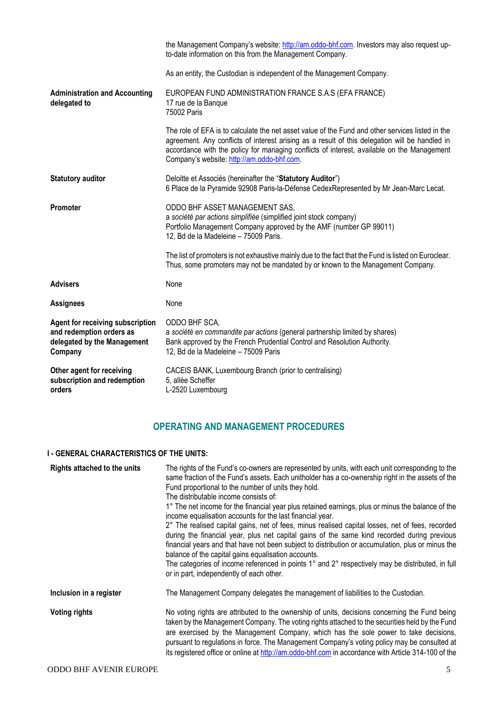|                                                                                                               | the Management Company's website: http://am.oddo-bhf.com. Investors may also request up-<br>to-date information on this from the Management Company.                                                                                                                                                                                           |
|---------------------------------------------------------------------------------------------------------------|------------------------------------------------------------------------------------------------------------------------------------------------------------------------------------------------------------------------------------------------------------------------------------------------------------------------------------------------|
|                                                                                                               | As an entity, the Custodian is independent of the Management Company.                                                                                                                                                                                                                                                                          |
| <b>Administration and Accounting</b><br>delegated to                                                          | EUROPEAN FUND ADMINISTRATION FRANCE S.A.S (EFA FRANCE)<br>17 rue de la Banque<br>75002 Paris                                                                                                                                                                                                                                                   |
|                                                                                                               | The role of EFA is to calculate the net asset value of the Fund and other services listed in the<br>agreement. Any conflicts of interest arising as a result of this delegation will be handled in<br>accordance with the policy for managing conflicts of interest, available on the Management<br>Company's website: http://am.oddo-bhf.com. |
| <b>Statutory auditor</b>                                                                                      | Deloitte et Associés (hereinafter the "Statutory Auditor")<br>6 Place de la Pyramide 92908 Paris-la-Défense CedexRepresented by Mr Jean-Marc Lecat.                                                                                                                                                                                            |
| <b>Promoter</b>                                                                                               | ODDO BHF ASSET MANAGEMENT SAS,<br>a société par actions simplifiée (simplified joint stock company)<br>Portfolio Management Company approved by the AMF (number GP 99011)<br>12, Bd de la Madeleine - 75009 Paris.                                                                                                                             |
|                                                                                                               | The list of promoters is not exhaustive mainly due to the fact that the Fund is listed on Euroclear.<br>Thus, some promoters may not be mandated by or known to the Management Company.                                                                                                                                                        |
| <b>Advisers</b>                                                                                               | None                                                                                                                                                                                                                                                                                                                                           |
| <b>Assignees</b>                                                                                              | None                                                                                                                                                                                                                                                                                                                                           |
| <b>Agent for receiving subscription</b><br>and redemption orders as<br>delegated by the Management<br>Company | ODDO BHF SCA,<br>a société en commandite par actions (general partnership limited by shares)<br>Bank approved by the French Prudential Control and Resolution Authority.<br>12, Bd de la Madeleine - 75009 Paris                                                                                                                               |
| Other agent for receiving<br>subscription and redemption<br>orders                                            | CACEIS BANK, Luxembourg Branch (prior to centralising)<br>5, allée Scheffer<br>L-2520 Luxembourg                                                                                                                                                                                                                                               |

# **OPERATING AND MANAGEMENT PROCEDURES**

## **I - GENERAL CHARACTERISTICS OF THE UNITS:**

| Rights attached to the units | The rights of the Fund's co-owners are represented by units, with each unit corresponding to the<br>same fraction of the Fund's assets. Each unitholder has a co-ownership right in the assets of the<br>Fund proportional to the number of units they hold.<br>The distributable income consists of:<br>1° The net income for the financial year plus retained earnings, plus or minus the balance of the<br>income equalisation accounts for the last financial year.<br>2° The realised capital gains, net of fees, minus realised capital losses, net of fees, recorded<br>during the financial year, plus net capital gains of the same kind recorded during previous<br>financial years and that have not been subject to distribution or accumulation, plus or minus the<br>balance of the capital gains equalisation accounts.<br>The categories of income referenced in points 1° and 2° respectively may be distributed, in full<br>or in part, independently of each other. |
|------------------------------|----------------------------------------------------------------------------------------------------------------------------------------------------------------------------------------------------------------------------------------------------------------------------------------------------------------------------------------------------------------------------------------------------------------------------------------------------------------------------------------------------------------------------------------------------------------------------------------------------------------------------------------------------------------------------------------------------------------------------------------------------------------------------------------------------------------------------------------------------------------------------------------------------------------------------------------------------------------------------------------|
| Inclusion in a register      | The Management Company delegates the management of liabilities to the Custodian.                                                                                                                                                                                                                                                                                                                                                                                                                                                                                                                                                                                                                                                                                                                                                                                                                                                                                                       |
| <b>Voting rights</b>         | No voting rights are attributed to the ownership of units, decisions concerning the Fund being<br>taken by the Management Company. The voting rights attached to the securities held by the Fund<br>are exercised by the Management Company, which has the sole power to take decisions,<br>pursuant to regulations in force. The Management Company's voting policy may be consulted at<br>its registered office or online at http://am.oddo-bhf.com in accordance with Article 314-100 of the                                                                                                                                                                                                                                                                                                                                                                                                                                                                                        |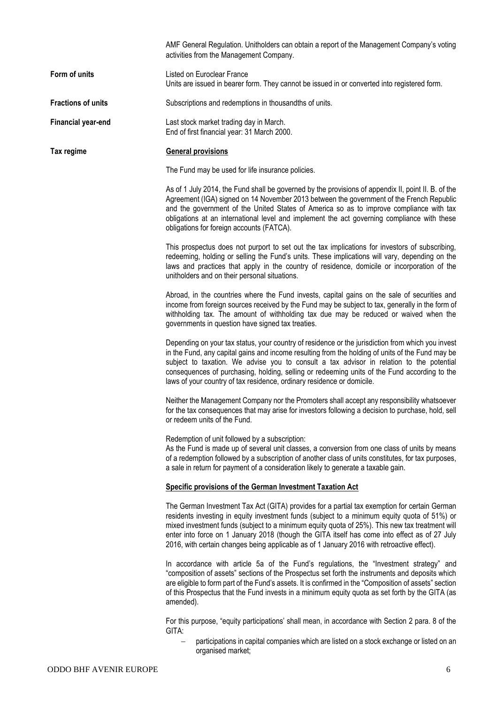|                           | AMF General Regulation. Unitholders can obtain a report of the Management Company's voting<br>activities from the Management Company.                                                                                                                                                                                                                                                                                                                                                         |
|---------------------------|-----------------------------------------------------------------------------------------------------------------------------------------------------------------------------------------------------------------------------------------------------------------------------------------------------------------------------------------------------------------------------------------------------------------------------------------------------------------------------------------------|
| Form of units             | Listed on Euroclear France<br>Units are issued in bearer form. They cannot be issued in or converted into registered form.                                                                                                                                                                                                                                                                                                                                                                    |
| <b>Fractions of units</b> | Subscriptions and redemptions in thousandths of units.                                                                                                                                                                                                                                                                                                                                                                                                                                        |
| <b>Financial year-end</b> | Last stock market trading day in March.<br>End of first financial year: 31 March 2000.                                                                                                                                                                                                                                                                                                                                                                                                        |
| Tax regime                | <b>General provisions</b>                                                                                                                                                                                                                                                                                                                                                                                                                                                                     |
|                           | The Fund may be used for life insurance policies.                                                                                                                                                                                                                                                                                                                                                                                                                                             |
|                           | As of 1 July 2014, the Fund shall be governed by the provisions of appendix II, point II. B. of the<br>Agreement (IGA) signed on 14 November 2013 between the government of the French Republic<br>and the government of the United States of America so as to improve compliance with tax<br>obligations at an international level and implement the act governing compliance with these<br>obligations for foreign accounts (FATCA).                                                        |
|                           | This prospectus does not purport to set out the tax implications for investors of subscribing,<br>redeeming, holding or selling the Fund's units. These implications will vary, depending on the<br>laws and practices that apply in the country of residence, domicile or incorporation of the<br>unitholders and on their personal situations.                                                                                                                                              |
|                           | Abroad, in the countries where the Fund invests, capital gains on the sale of securities and<br>income from foreign sources received by the Fund may be subject to tax, generally in the form of<br>withholding tax. The amount of withholding tax due may be reduced or waived when the<br>governments in question have signed tax treaties.                                                                                                                                                 |
|                           | Depending on your tax status, your country of residence or the jurisdiction from which you invest<br>in the Fund, any capital gains and income resulting from the holding of units of the Fund may be<br>subject to taxation. We advise you to consult a tax advisor in relation to the potential<br>consequences of purchasing, holding, selling or redeeming units of the Fund according to the<br>laws of your country of tax residence, ordinary residence or domicile.                   |
|                           | Neither the Management Company nor the Promoters shall accept any responsibility whatsoever<br>for the tax consequences that may arise for investors following a decision to purchase, hold, sell<br>or redeem units of the Fund.                                                                                                                                                                                                                                                             |
|                           | Redemption of unit followed by a subscription:<br>As the Fund is made up of several unit classes, a conversion from one class of units by means<br>of a redemption followed by a subscription of another class of units constitutes, for tax purposes,<br>a sale in return for payment of a consideration likely to generate a taxable gain.                                                                                                                                                  |
|                           | Specific provisions of the German Investment Taxation Act                                                                                                                                                                                                                                                                                                                                                                                                                                     |
|                           | The German Investment Tax Act (GITA) provides for a partial tax exemption for certain German<br>residents investing in equity investment funds (subject to a minimum equity quota of 51%) or<br>mixed investment funds (subject to a minimum equity quota of 25%). This new tax treatment will<br>enter into force on 1 January 2018 (though the GITA itself has come into effect as of 27 July<br>2016, with certain changes being applicable as of 1 January 2016 with retroactive effect). |
|                           | In accordance with article 5a of the Fund's regulations, the "Investment strategy" and<br>"composition of assets" sections of the Prospectus set forth the instruments and deposits which<br>are eligible to form part of the Fund's assets. It is confirmed in the "Composition of assets" section<br>of this Prospectus that the Fund invests in a minimum equity quota as set forth by the GITA (as<br>amended).                                                                           |
|                           | For this purpose, "equity participations' shall mean, in accordance with Section 2 para. 8 of the<br>GITA:                                                                                                                                                                                                                                                                                                                                                                                    |
|                           | participations in capital companies which are listed on a stock exchange or listed on an                                                                                                                                                                                                                                                                                                                                                                                                      |

organised market;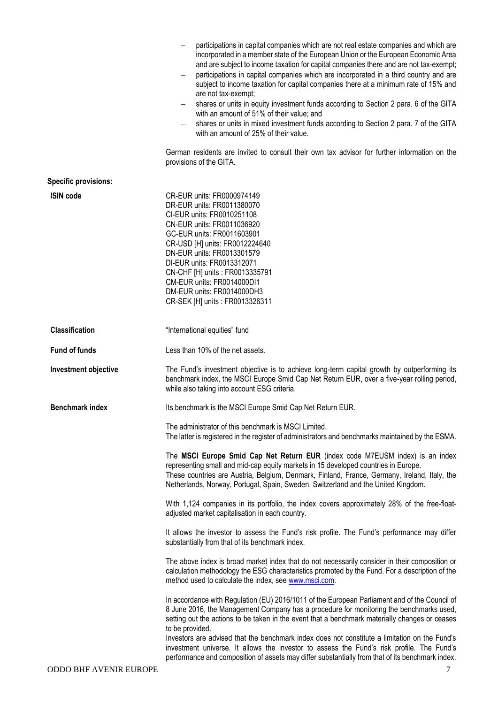|                             | participations in capital companies which are not real estate companies and which are<br>incorporated in a member state of the European Union or the European Economic Area<br>and are subject to income taxation for capital companies there and are not tax-exempt;<br>participations in capital companies which are incorporated in a third country and are<br>subject to income taxation for capital companies there at a minimum rate of 15% and<br>are not tax-exempt;<br>shares or units in equity investment funds according to Section 2 para. 6 of the GITA<br>with an amount of 51% of their value; and<br>shares or units in mixed investment funds according to Section 2 para. 7 of the GITA<br>with an amount of 25% of their value. |
|-----------------------------|-----------------------------------------------------------------------------------------------------------------------------------------------------------------------------------------------------------------------------------------------------------------------------------------------------------------------------------------------------------------------------------------------------------------------------------------------------------------------------------------------------------------------------------------------------------------------------------------------------------------------------------------------------------------------------------------------------------------------------------------------------|
|                             | German residents are invited to consult their own tax advisor for further information on the<br>provisions of the GITA.                                                                                                                                                                                                                                                                                                                                                                                                                                                                                                                                                                                                                             |
| <b>Specific provisions:</b> |                                                                                                                                                                                                                                                                                                                                                                                                                                                                                                                                                                                                                                                                                                                                                     |
| <b>ISIN code</b>            | CR-EUR units: FR0000974149<br>DR-EUR units: FR0011380070<br>CI-EUR units: FR0010251108<br>CN-EUR units: FR0011036920<br>GC-EUR units: FR0011603901<br>CR-USD [H] units: FR0012224640<br>DN-EUR units: FR0013301579<br>DI-EUR units: FR0013312071<br>CN-CHF [H] units : FR0013335791<br>CM-EUR units: FR0014000DI1<br>DM-EUR units: FR0014000DH3<br>CR-SEK [H] units: FR0013326311                                                                                                                                                                                                                                                                                                                                                                   |
| <b>Classification</b>       | "International equities" fund                                                                                                                                                                                                                                                                                                                                                                                                                                                                                                                                                                                                                                                                                                                       |
| <b>Fund of funds</b>        | Less than 10% of the net assets.                                                                                                                                                                                                                                                                                                                                                                                                                                                                                                                                                                                                                                                                                                                    |
| Investment objective        | The Fund's investment objective is to achieve long-term capital growth by outperforming its<br>benchmark index, the MSCI Europe Smid Cap Net Return EUR, over a five-year rolling period,<br>while also taking into account ESG criteria.                                                                                                                                                                                                                                                                                                                                                                                                                                                                                                           |
| <b>Benchmark index</b>      | Its benchmark is the MSCI Europe Smid Cap Net Return EUR.                                                                                                                                                                                                                                                                                                                                                                                                                                                                                                                                                                                                                                                                                           |
|                             | The administrator of this benchmark is MSCI Limited.<br>The latter is registered in the register of administrators and benchmarks maintained by the ESMA.                                                                                                                                                                                                                                                                                                                                                                                                                                                                                                                                                                                           |
|                             | The MSCI Europe Smid Cap Net Return EUR (index code M7EUSM index) is an index<br>representing small and mid-cap equity markets in 15 developed countries in Europe.<br>These countries are Austria, Belgium, Denmark, Finland, France, Germany, Ireland, Italy, the<br>Netherlands, Norway, Portugal, Spain, Sweden, Switzerland and the United Kingdom.                                                                                                                                                                                                                                                                                                                                                                                            |
|                             | With 1,124 companies in its portfolio, the index covers approximately 28% of the free-float-<br>adjusted market capitalisation in each country.                                                                                                                                                                                                                                                                                                                                                                                                                                                                                                                                                                                                     |
|                             | It allows the investor to assess the Fund's risk profile. The Fund's performance may differ<br>substantially from that of its benchmark index.                                                                                                                                                                                                                                                                                                                                                                                                                                                                                                                                                                                                      |
|                             | The above index is broad market index that do not necessarily consider in their composition or<br>calculation methodology the ESG characteristics promoted by the Fund. For a description of the<br>method used to calculate the index, see www.msci.com.                                                                                                                                                                                                                                                                                                                                                                                                                                                                                           |
|                             | In accordance with Regulation (EU) 2016/1011 of the European Parliament and of the Council of<br>8 June 2016, the Management Company has a procedure for monitoring the benchmarks used,<br>setting out the actions to be taken in the event that a benchmark materially changes or ceases<br>to be provided.<br>Investors are advised that the benchmark index does not constitute a limitation on the Fund's<br>investment universe. It allows the investor to assess the Fund's risk profile. The Fund's                                                                                                                                                                                                                                         |
|                             | performance and composition of assets may differ substantially from that of its benchmark index.                                                                                                                                                                                                                                                                                                                                                                                                                                                                                                                                                                                                                                                    |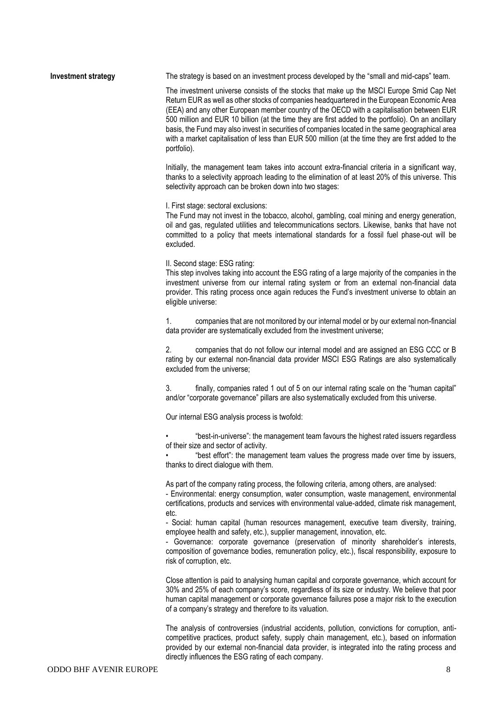#### **Investment strategy** The strategy is based on an investment process developed by the "small and mid-caps" team.

The investment universe consists of the stocks that make up the MSCI Europe Smid Cap Net Return EUR as well as other stocks of companies headquartered in the European Economic Area (EEA) and any other European member country of the OECD with a capitalisation between EUR 500 million and EUR 10 billion (at the time they are first added to the portfolio). On an ancillary basis, the Fund may also invest in securities of companies located in the same geographical area with a market capitalisation of less than EUR 500 million (at the time they are first added to the portfolio).

Initially, the management team takes into account extra-financial criteria in a significant way, thanks to a selectivity approach leading to the elimination of at least 20% of this universe. This selectivity approach can be broken down into two stages:

I. First stage: sectoral exclusions:

The Fund may not invest in the tobacco, alcohol, gambling, coal mining and energy generation, oil and gas, regulated utilities and telecommunications sectors. Likewise, banks that have not committed to a policy that meets international standards for a fossil fuel phase-out will be excluded.

#### II. Second stage: ESG rating:

This step involves taking into account the ESG rating of a large majority of the companies in the investment universe from our internal rating system or from an external non-financial data provider. This rating process once again reduces the Fund's investment universe to obtain an eligible universe:

1. companies that are not monitored by our internal model or by our external non-financial data provider are systematically excluded from the investment universe;

2. companies that do not follow our internal model and are assigned an ESG CCC or B rating by our external non-financial data provider MSCI ESG Ratings are also systematically excluded from the universe;

3. finally, companies rated 1 out of 5 on our internal rating scale on the "human capital" and/or "corporate governance" pillars are also systematically excluded from this universe.

Our internal ESG analysis process is twofold:

• "best-in-universe": the management team favours the highest rated issuers regardless of their size and sector of activity.

• "best effort": the management team values the progress made over time by issuers, thanks to direct dialogue with them.

As part of the company rating process, the following criteria, among others, are analysed:

- Environmental: energy consumption, water consumption, waste management, environmental certifications, products and services with environmental value-added, climate risk management, etc.

- Social: human capital (human resources management, executive team diversity, training, employee health and safety, etc.), supplier management, innovation, etc.

- Governance: corporate governance (preservation of minority shareholder's interests, composition of governance bodies, remuneration policy, etc.), fiscal responsibility, exposure to risk of corruption, etc.

Close attention is paid to analysing human capital and corporate governance, which account for 30% and 25% of each company's score, regardless of its size or industry. We believe that poor human capital management or corporate governance failures pose a major risk to the execution of a company's strategy and therefore to its valuation.

The analysis of controversies (industrial accidents, pollution, convictions for corruption, anticompetitive practices, product safety, supply chain management, etc.), based on information provided by our external non-financial data provider, is integrated into the rating process and directly influences the ESG rating of each company.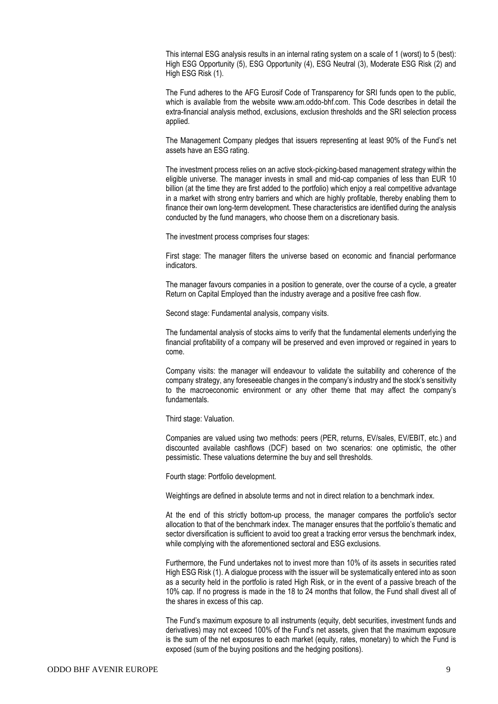This internal ESG analysis results in an internal rating system on a scale of 1 (worst) to 5 (best): High ESG Opportunity (5), ESG Opportunity (4), ESG Neutral (3), Moderate ESG Risk (2) and High ESG Risk (1).

The Fund adheres to the AFG Eurosif Code of Transparency for SRI funds open to the public, which is available from the website www.am.oddo-bhf.com. This Code describes in detail the extra-financial analysis method, exclusions, exclusion thresholds and the SRI selection process applied.

The Management Company pledges that issuers representing at least 90% of the Fund's net assets have an ESG rating.

The investment process relies on an active stock-picking-based management strategy within the eligible universe. The manager invests in small and mid-cap companies of less than EUR 10 billion (at the time they are first added to the portfolio) which enjoy a real competitive advantage in a market with strong entry barriers and which are highly profitable, thereby enabling them to finance their own long-term development. These characteristics are identified during the analysis conducted by the fund managers, who choose them on a discretionary basis.

The investment process comprises four stages:

First stage: The manager filters the universe based on economic and financial performance indicators.

The manager favours companies in a position to generate, over the course of a cycle, a greater Return on Capital Employed than the industry average and a positive free cash flow.

Second stage: Fundamental analysis, company visits.

The fundamental analysis of stocks aims to verify that the fundamental elements underlying the financial profitability of a company will be preserved and even improved or regained in years to come.

Company visits: the manager will endeavour to validate the suitability and coherence of the company strategy, any foreseeable changes in the company's industry and the stock's sensitivity to the macroeconomic environment or any other theme that may affect the company's fundamentals.

Third stage: Valuation.

Companies are valued using two methods: peers (PER, returns, EV/sales, EV/EBIT, etc.) and discounted available cashflows (DCF) based on two scenarios: one optimistic, the other pessimistic. These valuations determine the buy and sell thresholds.

Fourth stage: Portfolio development.

Weightings are defined in absolute terms and not in direct relation to a benchmark index.

At the end of this strictly bottom-up process, the manager compares the portfolio's sector allocation to that of the benchmark index. The manager ensures that the portfolio's thematic and sector diversification is sufficient to avoid too great a tracking error versus the benchmark index, while complying with the aforementioned sectoral and ESG exclusions.

Furthermore, the Fund undertakes not to invest more than 10% of its assets in securities rated High ESG Risk (1). A dialogue process with the issuer will be systematically entered into as soon as a security held in the portfolio is rated High Risk, or in the event of a passive breach of the 10% cap. If no progress is made in the 18 to 24 months that follow, the Fund shall divest all of the shares in excess of this cap.

The Fund's maximum exposure to all instruments (equity, debt securities, investment funds and derivatives) may not exceed 100% of the Fund's net assets, given that the maximum exposure is the sum of the net exposures to each market (equity, rates, monetary) to which the Fund is exposed (sum of the buying positions and the hedging positions).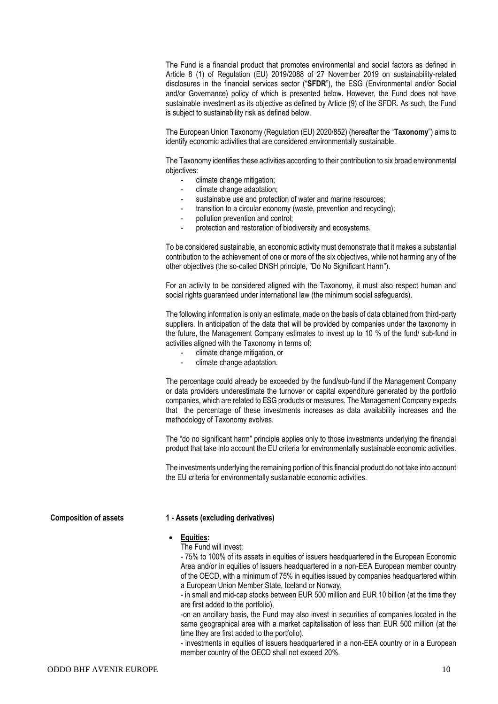The Fund is a financial product that promotes environmental and social factors as defined in Article 8 (1) of Regulation (EU) 2019/2088 of 27 November 2019 on sustainability-related disclosures in the financial services sector ("**SFDR**"), the ESG (Environmental and/or Social and/or Governance) policy of which is presented below. However, the Fund does not have sustainable investment as its objective as defined by Article (9) of the SFDR. As such, the Fund is subject to sustainability risk as defined below.

The European Union Taxonomy (Regulation (EU) 2020/852) (hereafter the "**Taxonomy**") aims to identify economic activities that are considered environmentally sustainable.

The Taxonomy identifies these activities according to their contribution to six broad environmental objectives:

- climate change mitigation;
- climate change adaptation;
- sustainable use and protection of water and marine resources;
- transition to a circular economy (waste, prevention and recycling);
- pollution prevention and control;
- protection and restoration of biodiversity and ecosystems.

To be considered sustainable, an economic activity must demonstrate that it makes a substantial contribution to the achievement of one or more of the six objectives, while not harming any of the other objectives (the so-called DNSH principle, "Do No Significant Harm").

For an activity to be considered aligned with the Taxonomy, it must also respect human and social rights guaranteed under international law (the minimum social safeguards).

The following information is only an estimate, made on the basis of data obtained from third-party suppliers. In anticipation of the data that will be provided by companies under the taxonomy in the future, the Management Company estimates to invest up to 10 % of the fund/ sub-fund in activities aligned with the Taxonomy in terms of:

- climate change mitigation, or
- climate change adaptation.

The percentage could already be exceeded by the fund/sub-fund if the Management Company or data providers underestimate the turnover or capital expenditure generated by the portfolio companies, which are related to ESG products or measures. The Management Company expects that the percentage of these investments increases as data availability increases and the methodology of Taxonomy evolves.

The "do no significant harm" principle applies only to those investments underlying the financial product that take into account the EU criteria for environmentally sustainable economic activities.

The investments underlying the remaining portion of this financial product do not take into account the EU criteria for environmentally sustainable economic activities.

#### **Composition of assets 1 - Assets (excluding derivatives)**

#### • **Equities:**

The Fund will invest:

- 75% to 100% of its assets in equities of issuers headquartered in the European Economic Area and/or in equities of issuers headquartered in a non-EEA European member country of the OECD, with a minimum of 75% in equities issued by companies headquartered within a European Union Member State, Iceland or Norway,

- in small and mid-cap stocks between EUR 500 million and EUR 10 billion (at the time they are first added to the portfolio),

-on an ancillary basis, the Fund may also invest in securities of companies located in the same geographical area with a market capitalisation of less than EUR 500 million (at the time they are first added to the portfolio).

- investments in equities of issuers headquartered in a non-EEA country or in a European member country of the OECD shall not exceed 20%.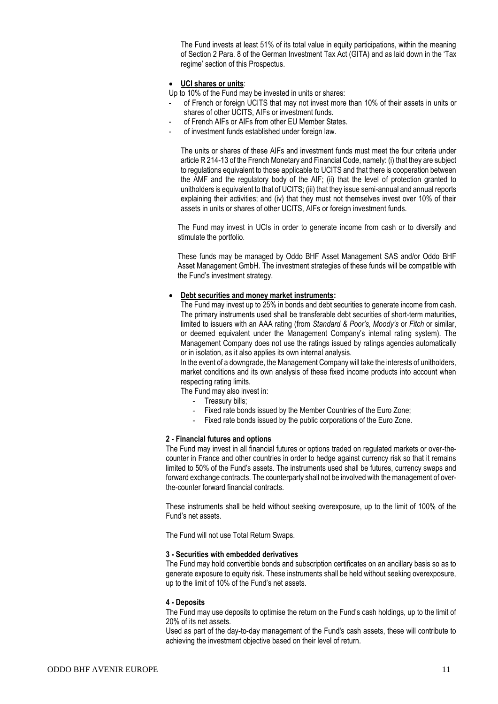The Fund invests at least 51% of its total value in equity participations, within the meaning of Section 2 Para. 8 of the German Investment Tax Act (GITA) and as laid down in the 'Tax regime' section of this Prospectus.

#### • **UCI shares or units**:

Up to 10% of the Fund may be invested in units or shares:

- of French or foreign UCITS that may not invest more than 10% of their assets in units or shares of other UCITS, AIFs or investment funds.
- of French AIFs or AIFs from other EU Member States.
- of investment funds established under foreign law.

The units or shares of these AIFs and investment funds must meet the four criteria under article R 214-13 of the French Monetary and Financial Code, namely: (i) that they are subject to regulations equivalent to those applicable to UCITS and that there is cooperation between the AMF and the regulatory body of the AIF; (ii) that the level of protection granted to unitholders is equivalent to that of UCITS; (iii) that they issue semi-annual and annual reports explaining their activities; and (iv) that they must not themselves invest over 10% of their assets in units or shares of other UCITS, AIFs or foreign investment funds.

The Fund may invest in UCIs in order to generate income from cash or to diversify and stimulate the portfolio.

These funds may be managed by Oddo BHF Asset Management SAS and/or Oddo BHF Asset Management GmbH. The investment strategies of these funds will be compatible with the Fund's investment strategy.

#### • **Debt securities and money market instruments:**

The Fund may invest up to 25% in bonds and debt securities to generate income from cash. The primary instruments used shall be transferable debt securities of short-term maturities, limited to issuers with an AAA rating (from *Standard & Poor's, Moody's* or *Fitch* or similar, or deemed equivalent under the Management Company's internal rating system). The Management Company does not use the ratings issued by ratings agencies automatically or in isolation, as it also applies its own internal analysis.

In the event of a downgrade, the Management Company will take the interests of unitholders, market conditions and its own analysis of these fixed income products into account when respecting rating limits.

The Fund may also invest in:

- Treasury bills;
- Fixed rate bonds issued by the Member Countries of the Euro Zone;
- Fixed rate bonds issued by the public corporations of the Euro Zone.

#### **2 - Financial futures and options**

The Fund may invest in all financial futures or options traded on regulated markets or over-thecounter in France and other countries in order to hedge against currency risk so that it remains limited to 50% of the Fund's assets. The instruments used shall be futures, currency swaps and forward exchange contracts. The counterparty shall not be involved with the management of overthe-counter forward financial contracts.

These instruments shall be held without seeking overexposure, up to the limit of 100% of the Fund's net assets.

The Fund will not use Total Return Swaps.

#### **3 - Securities with embedded derivatives**

The Fund may hold convertible bonds and subscription certificates on an ancillary basis so as to generate exposure to equity risk. These instruments shall be held without seeking overexposure, up to the limit of 10% of the Fund's net assets.

#### **4 - Deposits**

The Fund may use deposits to optimise the return on the Fund's cash holdings, up to the limit of 20% of its net assets.

Used as part of the day-to-day management of the Fund's cash assets, these will contribute to achieving the investment objective based on their level of return.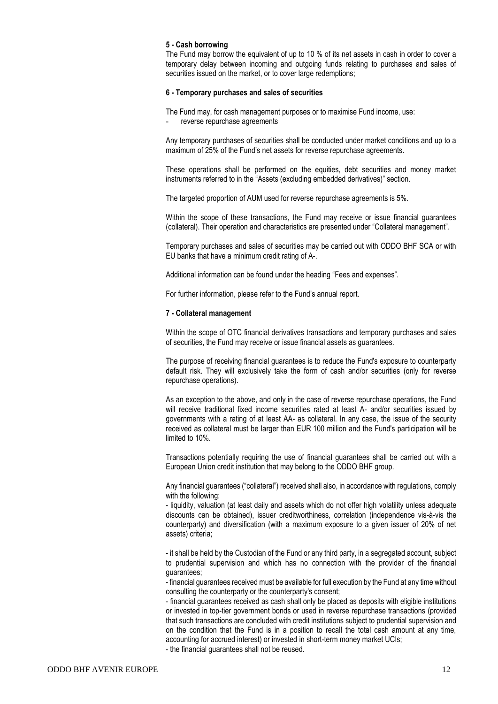#### **5 - Cash borrowing**

The Fund may borrow the equivalent of up to 10 % of its net assets in cash in order to cover a temporary delay between incoming and outgoing funds relating to purchases and sales of securities issued on the market, or to cover large redemptions;

#### **6 - Temporary purchases and sales of securities**

The Fund may, for cash management purposes or to maximise Fund income, use:

reverse repurchase agreements

Any temporary purchases of securities shall be conducted under market conditions and up to a maximum of 25% of the Fund's net assets for reverse repurchase agreements.

These operations shall be performed on the equities, debt securities and money market instruments referred to in the "Assets (excluding embedded derivatives)" section.

The targeted proportion of AUM used for reverse repurchase agreements is 5%.

Within the scope of these transactions, the Fund may receive or issue financial guarantees (collateral). Their operation and characteristics are presented under "Collateral management".

Temporary purchases and sales of securities may be carried out with ODDO BHF SCA or with EU banks that have a minimum credit rating of A-.

Additional information can be found under the heading "Fees and expenses".

For further information, please refer to the Fund's annual report.

#### **7 - Collateral management**

Within the scope of OTC financial derivatives transactions and temporary purchases and sales of securities, the Fund may receive or issue financial assets as guarantees.

The purpose of receiving financial guarantees is to reduce the Fund's exposure to counterparty default risk. They will exclusively take the form of cash and/or securities (only for reverse repurchase operations).

As an exception to the above, and only in the case of reverse repurchase operations, the Fund will receive traditional fixed income securities rated at least A- and/or securities issued by governments with a rating of at least AA- as collateral. In any case, the issue of the security received as collateral must be larger than EUR 100 million and the Fund's participation will be limited to 10%.

Transactions potentially requiring the use of financial guarantees shall be carried out with a European Union credit institution that may belong to the ODDO BHF group.

Any financial guarantees ("collateral") received shall also, in accordance with regulations, comply with the following:

- liquidity, valuation (at least daily and assets which do not offer high volatility unless adequate discounts can be obtained), issuer creditworthiness, correlation (independence vis-à-vis the counterparty) and diversification (with a maximum exposure to a given issuer of 20% of net assets) criteria;

- it shall be held by the Custodian of the Fund or any third party, in a segregated account, subject to prudential supervision and which has no connection with the provider of the financial guarantees;

- financial guarantees received must be available for full execution by the Fund at any time without consulting the counterparty or the counterparty's consent;

- financial guarantees received as cash shall only be placed as deposits with eligible institutions or invested in top-tier government bonds or used in reverse repurchase transactions (provided that such transactions are concluded with credit institutions subject to prudential supervision and on the condition that the Fund is in a position to recall the total cash amount at any time, accounting for accrued interest) or invested in short-term money market UCIs;

- the financial guarantees shall not be reused.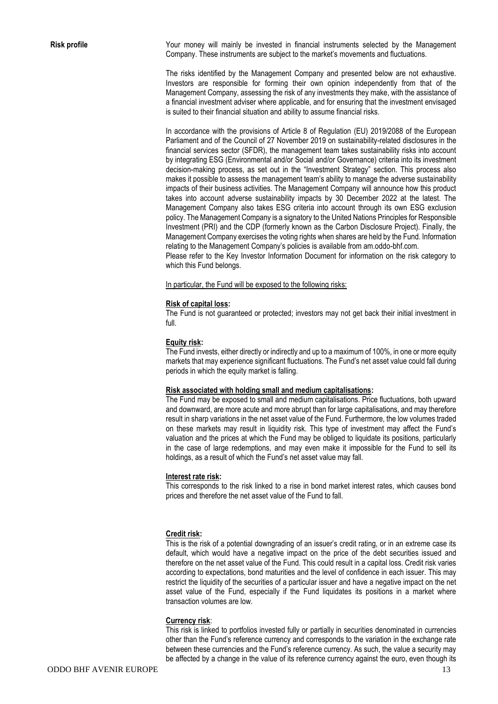**Risk profile** Your money will mainly be invested in financial instruments selected by the Management Company. These instruments are subject to the market's movements and fluctuations.

> The risks identified by the Management Company and presented below are not exhaustive. Investors are responsible for forming their own opinion independently from that of the Management Company, assessing the risk of any investments they make, with the assistance of a financial investment adviser where applicable, and for ensuring that the investment envisaged is suited to their financial situation and ability to assume financial risks.

> In accordance with the provisions of Article 8 of Regulation (EU) 2019/2088 of the European Parliament and of the Council of 27 November 2019 on sustainability-related disclosures in the financial services sector (SFDR), the management team takes sustainability risks into account by integrating ESG (Environmental and/or Social and/or Governance) criteria into its investment decision-making process, as set out in the "Investment Strategy" section. This process also makes it possible to assess the management team's ability to manage the adverse sustainability impacts of their business activities. The Management Company will announce how this product takes into account adverse sustainability impacts by 30 December 2022 at the latest. The Management Company also takes ESG criteria into account through its own ESG exclusion policy. The Management Company is a signatory to the United Nations Principles for Responsible Investment (PRI) and the CDP (formerly known as the Carbon Disclosure Project). Finally, the Management Company exercises the voting rights when shares are held by the Fund. Information relating to the Management Company's policies is available from am.oddo-bhf.com.

> Please refer to the Key Investor Information Document for information on the risk category to which this Fund belongs.

In particular, the Fund will be exposed to the following risks:

#### **Risk of capital loss:**

The Fund is not guaranteed or protected; investors may not get back their initial investment in full.

#### **Equity risk:**

The Fund invests, either directly or indirectly and up to a maximum of 100%, in one or more equity markets that may experience significant fluctuations. The Fund's net asset value could fall during periods in which the equity market is falling.

#### **Risk associated with holding small and medium capitalisations:**

The Fund may be exposed to small and medium capitalisations. Price fluctuations, both upward and downward, are more acute and more abrupt than for large capitalisations, and may therefore result in sharp variations in the net asset value of the Fund. Furthermore, the low volumes traded on these markets may result in liquidity risk. This type of investment may affect the Fund's valuation and the prices at which the Fund may be obliged to liquidate its positions, particularly in the case of large redemptions, and may even make it impossible for the Fund to sell its holdings, as a result of which the Fund's net asset value may fall.

#### **Interest rate risk:**

This corresponds to the risk linked to a rise in bond market interest rates, which causes bond prices and therefore the net asset value of the Fund to fall.

#### **Credit risk:**

This is the risk of a potential downgrading of an issuer's credit rating, or in an extreme case its default, which would have a negative impact on the price of the debt securities issued and therefore on the net asset value of the Fund. This could result in a capital loss. Credit risk varies according to expectations, bond maturities and the level of confidence in each issuer. This may restrict the liquidity of the securities of a particular issuer and have a negative impact on the net asset value of the Fund, especially if the Fund liquidates its positions in a market where transaction volumes are low.

#### **Currency risk**:

This risk is linked to portfolios invested fully or partially in securities denominated in currencies other than the Fund's reference currency and corresponds to the variation in the exchange rate between these currencies and the Fund's reference currency. As such, the value a security may be affected by a change in the value of its reference currency against the euro, even though its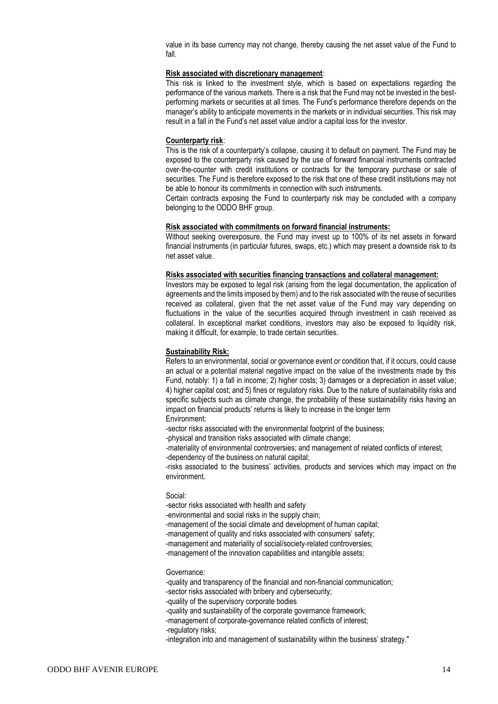value in its base currency may not change, thereby causing the net asset value of the Fund to fall.

#### **Risk associated with discretionary management**:

This risk is linked to the investment style, which is based on expectations regarding the performance of the various markets. There is a risk that the Fund may not be invested in the bestperforming markets or securities at all times. The Fund's performance therefore depends on the manager's ability to anticipate movements in the markets or in individual securities. This risk may result in a fall in the Fund's net asset value and/or a capital loss for the investor.

#### **Counterparty risk**:

This is the risk of a counterparty's collapse, causing it to default on payment. The Fund may be exposed to the counterparty risk caused by the use of forward financial instruments contracted over-the-counter with credit institutions or contracts for the temporary purchase or sale of securities. The Fund is therefore exposed to the risk that one of these credit institutions may not be able to honour its commitments in connection with such instruments.

Certain contracts exposing the Fund to counterparty risk may be concluded with a company belonging to the ODDO BHF group.

#### **Risk associated with commitments on forward financial instruments:**

Without seeking overexposure, the Fund may invest up to 100% of its net assets in forward financial instruments (in particular futures, swaps, etc.) which may present a downside risk to its net asset value.

#### **Risks associated with securities financing transactions and collateral management:**

Investors may be exposed to legal risk (arising from the legal documentation, the application of agreements and the limits imposed by them) and to the risk associated with the reuse of securities received as collateral, given that the net asset value of the Fund may vary depending on fluctuations in the value of the securities acquired through investment in cash received as collateral. In exceptional market conditions, investors may also be exposed to liquidity risk, making it difficult, for example, to trade certain securities.

#### **Sustainability Risk:**

Refers to an environmental, social or governance event or condition that, if it occurs, could cause an actual or a potential material negative impact on the value of the investments made by this Fund, notably: 1) a fall in income; 2) higher costs; 3) damages or a depreciation in asset value; 4) higher capital cost; and 5) fines or regulatory risks. Due to the nature of sustainability risks and specific subjects such as climate change, the probability of these sustainability risks having an impact on financial products' returns is likely to increase in the longer term Environment:

-sector risks associated with the environmental footprint of the business;

-physical and transition risks associated with climate change;

-materiality of environmental controversies; and management of related conflicts of interest; -dependency of the business on natural capital;

-risks associated to the business' activities, products and services which may impact on the environment.

#### Social:

-sector risks associated with health and safety

-environmental and social risks in the supply chain;

-management of the social climate and development of human capital;

-management of quality and risks associated with consumers' safety;

-management and materiality of social/society-related controversies;

-management of the innovation capabilities and intangible assets;

#### Governance:

-quality and transparency of the financial and non-financial communication;

-sector risks associated with bribery and cybersecurity;

-quality of the supervisory corporate bodies

-quality and sustainability of the corporate governance framework;

-management of corporate-governance related conflicts of interest;

-regulatory risks;

-integration into and management of sustainability within the business' strategy."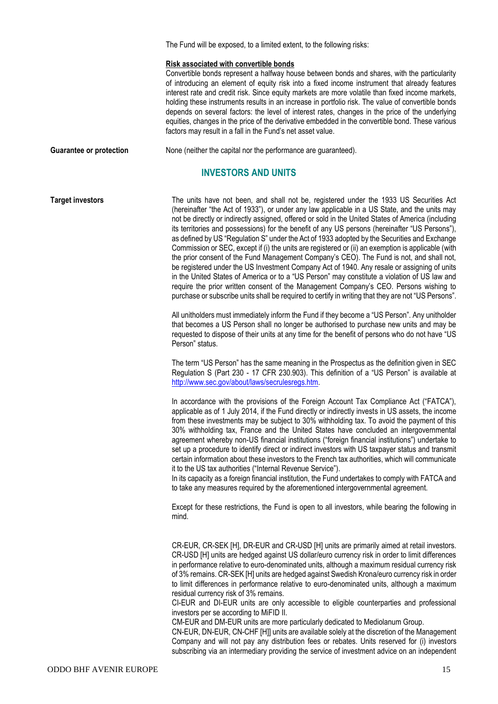The Fund will be exposed, to a limited extent, to the following risks:

#### **Risk associated with convertible bonds**

Convertible bonds represent a halfway house between bonds and shares, with the particularity of introducing an element of equity risk into a fixed income instrument that already features interest rate and credit risk. Since equity markets are more volatile than fixed income markets, holding these instruments results in an increase in portfolio risk. The value of convertible bonds depends on several factors: the level of interest rates, changes in the price of the underlying equities, changes in the price of the derivative embedded in the convertible bond. These various factors may result in a fall in the Fund's net asset value.

**Guarantee or protection** None (neither the capital nor the performance are quaranteed).

# **INVESTORS AND UNITS**

**Target investors** The units have not been, and shall not be, registered under the 1933 US Securities Act (hereinafter "the Act of 1933"), or under any law applicable in a US State, and the units may not be directly or indirectly assigned, offered or sold in the United States of America (including its territories and possessions) for the benefit of any US persons (hereinafter "US Persons"), as defined by US "Regulation S" under the Act of 1933 adopted by the Securities and Exchange Commission or SEC, except if (i) the units are registered or (ii) an exemption is applicable (with the prior consent of the Fund Management Company's CEO). The Fund is not, and shall not, be registered under the US Investment Company Act of 1940. Any resale or assigning of units in the United States of America or to a "US Person" may constitute a violation of US law and require the prior written consent of the Management Company's CEO. Persons wishing to purchase or subscribe units shall be required to certify in writing that they are not "US Persons".

> All unitholders must immediately inform the Fund if they become a "US Person". Any unitholder that becomes a US Person shall no longer be authorised to purchase new units and may be requested to dispose of their units at any time for the benefit of persons who do not have "US Person" status.

> The term "US Person" has the same meaning in the Prospectus as the definition given in SEC Regulation S (Part 230 - 17 CFR 230.903). This definition of a "US Person" is available at [http://www.sec.gov/about/laws/secrulesregs.htm.](http://www.sec.gov/about/laws/secrulesregs.htm)

> In accordance with the provisions of the Foreign Account Tax Compliance Act ("FATCA"), applicable as of 1 July 2014, if the Fund directly or indirectly invests in US assets, the income from these investments may be subject to 30% withholding tax. To avoid the payment of this 30% withholding tax, France and the United States have concluded an intergovernmental agreement whereby non-US financial institutions ("foreign financial institutions") undertake to set up a procedure to identify direct or indirect investors with US taxpayer status and transmit certain information about these investors to the French tax authorities, which will communicate it to the US tax authorities ("Internal Revenue Service").

> In its capacity as a foreign financial institution, the Fund undertakes to comply with FATCA and to take any measures required by the aforementioned intergovernmental agreement.

> Except for these restrictions, the Fund is open to all investors, while bearing the following in mind.

> CR-EUR, CR-SEK [H], DR-EUR and CR-USD [H] units are primarily aimed at retail investors. CR-USD [H] units are hedged against US dollar/euro currency risk in order to limit differences in performance relative to euro-denominated units, although a maximum residual currency risk of 3% remains. CR-SEK [H] units are hedged against Swedish Krona/euro currency risk in order to limit differences in performance relative to euro-denominated units, although a maximum residual currency risk of 3% remains.

> CI-EUR and DI-EUR units are only accessible to eligible counterparties and professional investors per se according to MiFID II.

CM-EUR and DM-EUR units are more particularly dedicated to Mediolanum Group.

CN-EUR, DN-EUR, CN-CHF [H]] units are available solely at the discretion of the Management Company and will not pay any distribution fees or rebates. Units reserved for (i) investors subscribing via an intermediary providing the service of investment advice on an independent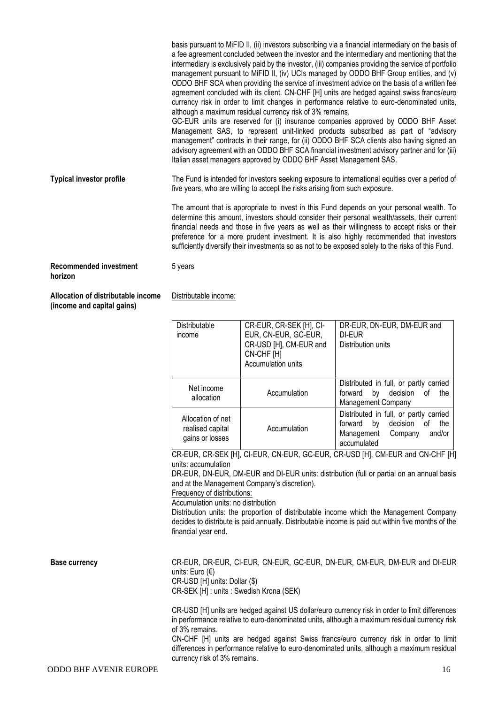basis pursuant to MiFID II, (ii) investors subscribing via a financial intermediary on the basis of a fee agreement concluded between the investor and the intermediary and mentioning that the intermediary is exclusively paid by the investor, (iii) companies providing the service of portfolio management pursuant to MiFID II, (iv) UCIs managed by ODDO BHF Group entities, and (v) ODDO BHF SCA when providing the service of investment advice on the basis of a written fee agreement concluded with its client. CN-CHF [H] units are hedged against swiss francs/euro currency risk in order to limit changes in performance relative to euro-denominated units, although a maximum residual currency risk of 3% remains.

GC-EUR units are reserved for (i) insurance companies approved by ODDO BHF Asset Management SAS, to represent unit-linked products subscribed as part of "advisory management" contracts in their range, for (ii) ODDO BHF SCA clients also having signed an advisory agreement with an ODDO BHF SCA financial investment advisory partner and for (iii) Italian asset managers approved by ODDO BHF Asset Management SAS.

**Typical investor profile** The Fund is intended for investors seeking exposure to international equities over a period of five years, who are willing to accept the risks arising from such exposure.

> The amount that is appropriate to invest in this Fund depends on your personal wealth. To determine this amount, investors should consider their personal wealth/assets, their current financial needs and those in five years as well as their willingness to accept risks or their preference for a more prudent investment. It is also highly recommended that investors sufficiently diversify their investments so as not to be exposed solely to the risks of this Fund.

**Recommended investment horizon**

**Allocation of distributable income (income and capital gains)**

Distributable income:

5 years

| Distributable<br>income                                  | CR-EUR, CR-SEK [H], CI-<br>EUR, CN-EUR, GC-EUR,<br>CR-USD [H], CM-EUR and<br>CN-CHF [H]<br>Accumulation units | DR-EUR, DN-EUR, DM-EUR and<br>DI-EUR<br>Distribution units                                                                      |
|----------------------------------------------------------|---------------------------------------------------------------------------------------------------------------|---------------------------------------------------------------------------------------------------------------------------------|
| Net income<br>allocation                                 | Accumulation                                                                                                  | Distributed in full, or partly carried<br>by<br>decision of<br>forward<br>the<br>Management Company                             |
| Allocation of net<br>realised capital<br>gains or losses | Accumulation                                                                                                  | Distributed in full, or partly carried<br>decision of<br>by<br>the<br>forward<br>Management<br>and/or<br>Company<br>accumulated |

CR-EUR, CR-SEK [H], CI-EUR, CN-EUR, GC-EUR, CR-USD [H], CM-EUR and CN-CHF [H] units: accumulation

DR-EUR, DN-EUR, DM-EUR and DI-EUR units: distribution (full or partial on an annual basis and at the Management Company's discretion).

Frequency of distributions:

Accumulation units: no distribution

Distribution units: the proportion of distributable income which the Management Company decides to distribute is paid annually. Distributable income is paid out within five months of the financial year end.

**Base currency** CR-EUR, DR-EUR, CI-EUR, CN-EUR, GC-EUR, DN-EUR, CM-EUR, DM-EUR and DI-EUR units: Euro (€) CR-USD [H] units: Dollar (\$) CR-SEK [H] : units : Swedish Krona (SEK)

> CR-USD [H] units are hedged against US dollar/euro currency risk in order to limit differences in performance relative to euro-denominated units, although a maximum residual currency risk of 3% remains.

> CN-CHF [H] units are hedged against Swiss francs/euro currency risk in order to limit differences in performance relative to euro-denominated units, although a maximum residual currency risk of 3% remains.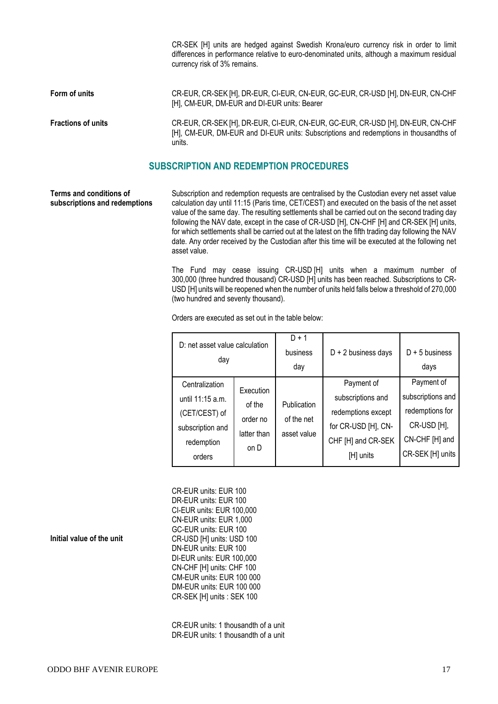CR-SEK [H] units are hedged against Swedish Krona/euro currency risk in order to limit differences in performance relative to euro-denominated units, although a maximum residual currency risk of 3% remains.

**Form of units** CR-EUR, CR-SEK [H], DR-EUR, CI-EUR, CN-EUR, GC-EUR, CR-USD [H], DN-EUR, CN-CHF [H], CM-EUR, DM-EUR and DI-EUR units: Bearer

**Fractions of units** CR-EUR, CR-SEK [H], DR-EUR, CI-EUR, CN-EUR, GC-EUR, CR-USD [H], DN-EUR, CN-CHF [H], CM-EUR, DM-EUR and DI-EUR units: Subscriptions and redemptions in thousandths of units.

### **SUBSCRIPTION AND REDEMPTION PROCEDURES**

**Terms and conditions of subscriptions and redemptions**

Subscription and redemption requests are centralised by the Custodian every net asset value calculation day until 11:15 (Paris time, CET/CEST) and executed on the basis of the net asset value of the same day. The resulting settlements shall be carried out on the second trading day following the NAV date, except in the case of CR-USD [H], CN-CHF [H] and CR-SEK [H] units, for which settlements shall be carried out at the latest on the fifth trading day following the NAV date. Any order received by the Custodian after this time will be executed at the following net asset value.

The Fund may cease issuing CR-USD [H] units when a maximum number of 300,000 (three hundred thousand) CR-USD [H] units has been reached. Subscriptions to CR-USD [H] units will be reopened when the number of units held falls below a threshold of 270,000 (two hundred and seventy thousand).

Orders are executed as set out in the table below:

|                                                                                                                                                                                                                                                                                                                          | $D + 2$ business days<br>$D + 5$ business<br>days                                                       |
|--------------------------------------------------------------------------------------------------------------------------------------------------------------------------------------------------------------------------------------------------------------------------------------------------------------------------|---------------------------------------------------------------------------------------------------------|
| Payment of<br>Centralization<br>Execution<br>subscriptions and<br>until 11:15 a.m.<br>of the<br>Publication<br>redemptions except<br>(CET/CEST) of<br>of the net<br>order no<br>for CR-USD [H], CN-<br>subscription and<br>latter than<br>asset value<br>CHF [H] and CR-SEK<br>redemption<br>on D<br>[H] units<br>orders | Payment of<br>subscriptions and<br>redemptions for<br>CR-USD [H],<br>CN-CHF [H] and<br>CR-SEK [H] units |

CR-EUR units: EUR 100 DR-EUR units: EUR 100 CI-EUR units: EUR 100,000 CN-EUR units: EUR 1,000 GC-EUR units: EUR 100 CR-USD [H] units: USD 100 DN-EUR units: EUR 100 DI-EUR units: EUR 100,000 CN-CHF [H] units: CHF 100 CM-EUR units: EUR 100 000 DM-EUR units: EUR 100 000 CR-SEK [H] units : SEK 100

CR-EUR units: 1 thousandth of a unit DR-EUR units: 1 thousandth of a unit

#### **Initial value of the unit**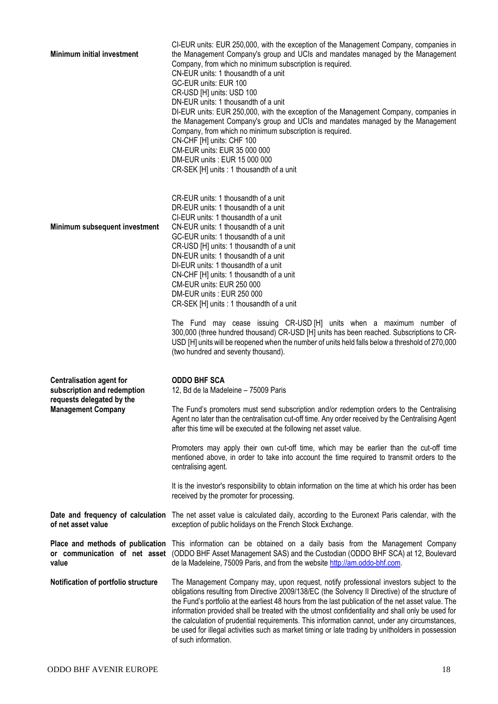| <b>Minimum initial investment</b>                                                                                        | CI-EUR units: EUR 250,000, with the exception of the Management Company, companies in<br>the Management Company's group and UCIs and mandates managed by the Management<br>Company, from which no minimum subscription is required.<br>CN-EUR units: 1 thousandth of a unit<br>GC-EUR units: EUR 100<br>CR-USD [H] units: USD 100<br>DN-EUR units: 1 thousandth of a unit<br>DI-EUR units: EUR 250,000, with the exception of the Management Company, companies in<br>the Management Company's group and UCIs and mandates managed by the Management<br>Company, from which no minimum subscription is required.<br>CN-CHF [H] units: CHF 100<br>CM-EUR units: EUR 35 000 000<br>DM-EUR units: EUR 15 000 000<br>CR-SEK [H] units : 1 thousandth of a unit                                               |
|--------------------------------------------------------------------------------------------------------------------------|----------------------------------------------------------------------------------------------------------------------------------------------------------------------------------------------------------------------------------------------------------------------------------------------------------------------------------------------------------------------------------------------------------------------------------------------------------------------------------------------------------------------------------------------------------------------------------------------------------------------------------------------------------------------------------------------------------------------------------------------------------------------------------------------------------|
| Minimum subsequent investment                                                                                            | CR-EUR units: 1 thousandth of a unit<br>DR-EUR units: 1 thousandth of a unit<br>CI-EUR units: 1 thousandth of a unit<br>CN-EUR units: 1 thousandth of a unit<br>GC-EUR units: 1 thousandth of a unit<br>CR-USD [H] units: 1 thousandth of a unit<br>DN-EUR units: 1 thousandth of a unit<br>DI-EUR units: 1 thousandth of a unit<br>CN-CHF [H] units: 1 thousandth of a unit<br><b>CM-EUR units: EUR 250 000</b><br>DM-EUR units: EUR 250 000<br>CR-SEK [H] units : 1 thousandth of a unit<br>The Fund may cease issuing CR-USD [H] units when a maximum number of<br>300,000 (three hundred thousand) CR-USD [H] units has been reached. Subscriptions to CR-<br>USD [H] units will be reopened when the number of units held falls below a threshold of 270,000<br>(two hundred and seventy thousand). |
| <b>Centralisation agent for</b><br>subscription and redemption<br>requests delegated by the<br><b>Management Company</b> | <b>ODDO BHF SCA</b><br>12, Bd de la Madeleine - 75009 Paris<br>The Fund's promoters must send subscription and/or redemption orders to the Centralising<br>Agent no later than the centralisation cut-off time. Any order received by the Centralising Agent<br>after this time will be executed at the following net asset value.<br>Promoters may apply their own cut-off time, which may be earlier than the cut-off time<br>mentioned above, in order to take into account the time required to transmit orders to the<br>centralising agent.<br>It is the investor's responsibility to obtain information on the time at which his order has been<br>received by the promoter for processing.                                                                                                       |
| of net asset value                                                                                                       | Date and frequency of calculation The net asset value is calculated daily, according to the Euronext Paris calendar, with the<br>exception of public holidays on the French Stock Exchange.                                                                                                                                                                                                                                                                                                                                                                                                                                                                                                                                                                                                              |
| value                                                                                                                    | Place and methods of publication This information can be obtained on a daily basis from the Management Company<br>or communication of net asset (ODDO BHF Asset Management SAS) and the Custodian (ODDO BHF SCA) at 12, Boulevard<br>de la Madeleine, 75009 Paris, and from the website http://am.oddo-bhf.com.                                                                                                                                                                                                                                                                                                                                                                                                                                                                                          |
| Notification of portfolio structure                                                                                      | The Management Company may, upon request, notify professional investors subject to the<br>obligations resulting from Directive 2009/138/EC (the Solvency II Directive) of the structure of<br>the Fund's portfolio at the earliest 48 hours from the last publication of the net asset value. The<br>information provided shall be treated with the utmost confidentiality and shall only be used for<br>the calculation of prudential requirements. This information cannot, under any circumstances,<br>be used for illegal activities such as market timing or late trading by unitholders in possession<br>of such information.                                                                                                                                                                      |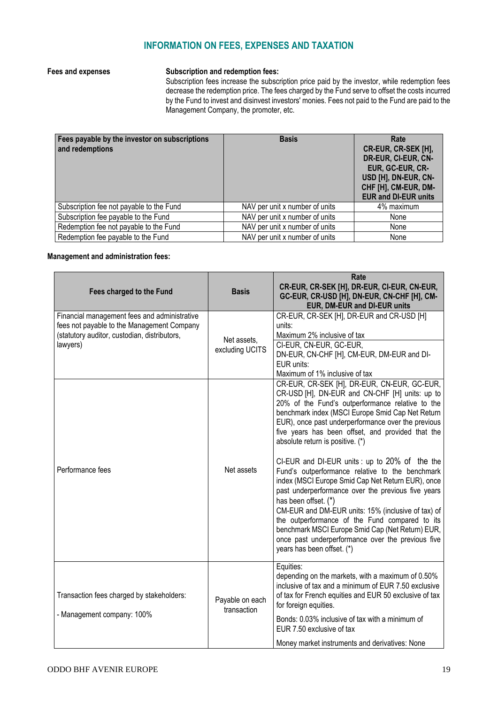# **INFORMATION ON FEES, EXPENSES AND TAXATION**

## **Fees and expenses Subscription and redemption fees:**

Subscription fees increase the subscription price paid by the investor, while redemption fees decrease the redemption price. The fees charged by the Fund serve to offset the costs incurred by the Fund to invest and disinvest investors' monies. Fees not paid to the Fund are paid to the Management Company, the promoter, etc.

| Fees payable by the investor on subscriptions<br>and redemptions | <b>Basis</b>                   | Rate<br>CR-EUR, CR-SEK [H],<br>DR-EUR, CI-EUR, CN-<br>EUR, GC-EUR, CR-<br>USD [H], DN-EUR, CN-<br>CHF [H], CM-EUR, DM-<br><b>EUR and DI-EUR units</b> |
|------------------------------------------------------------------|--------------------------------|-------------------------------------------------------------------------------------------------------------------------------------------------------|
| Subscription fee not payable to the Fund                         | NAV per unit x number of units | 4% maximum                                                                                                                                            |
| Subscription fee payable to the Fund                             | NAV per unit x number of units | None                                                                                                                                                  |
| Redemption fee not payable to the Fund                           | NAV per unit x number of units | None                                                                                                                                                  |
| Redemption fee payable to the Fund                               | NAV per unit x number of units | None                                                                                                                                                  |

#### **Management and administration fees:**

| Fees charged to the Fund                                                                                                                               | <b>Basis</b>                   | Rate<br>CR-EUR, CR-SEK [H], DR-EUR, CI-EUR, CN-EUR,<br>GC-EUR, CR-USD [H], DN-EUR, CN-CHF [H], CM-<br>EUR, DM-EUR and DI-EUR units                                                                                                                                                                                                                                                                                                                                                                                                                                                                                                                                                                                                                                                                                                          |
|--------------------------------------------------------------------------------------------------------------------------------------------------------|--------------------------------|---------------------------------------------------------------------------------------------------------------------------------------------------------------------------------------------------------------------------------------------------------------------------------------------------------------------------------------------------------------------------------------------------------------------------------------------------------------------------------------------------------------------------------------------------------------------------------------------------------------------------------------------------------------------------------------------------------------------------------------------------------------------------------------------------------------------------------------------|
| Financial management fees and administrative<br>fees not payable to the Management Company<br>(statutory auditor, custodian, distributors,<br>lawyers) | Net assets,<br>excluding UCITS | CR-EUR, CR-SEK [H], DR-EUR and CR-USD [H]<br>units:<br>Maximum 2% inclusive of tax<br>CI-EUR, CN-EUR, GC-EUR,<br>DN-EUR, CN-CHF [H], CM-EUR, DM-EUR and DI-<br>EUR units:<br>Maximum of 1% inclusive of tax                                                                                                                                                                                                                                                                                                                                                                                                                                                                                                                                                                                                                                 |
| Performance fees                                                                                                                                       | Net assets                     | CR-EUR, CR-SEK [H], DR-EUR, CN-EUR, GC-EUR,<br>CR-USD [H], DN-EUR and CN-CHF [H] units: up to<br>20% of the Fund's outperformance relative to the<br>benchmark index (MSCI Europe Smid Cap Net Return<br>EUR), once past underperformance over the previous<br>five years has been offset, and provided that the<br>absolute return is positive. (*)<br>CI-EUR and DI-EUR units : up to 20% of the the<br>Fund's outperformance relative to the benchmark<br>index (MSCI Europe Smid Cap Net Return EUR), once<br>past underperformance over the previous five years<br>has been offset. (*)<br>CM-EUR and DM-EUR units: 15% (inclusive of tax) of<br>the outperformance of the Fund compared to its<br>benchmark MSCI Europe Smid Cap (Net Return) EUR,<br>once past underperformance over the previous five<br>years has been offset. (*) |
| Transaction fees charged by stakeholders:<br>- Management company: 100%                                                                                | Payable on each<br>transaction | Equities:<br>depending on the markets, with a maximum of 0.50%<br>inclusive of tax and a minimum of EUR 7.50 exclusive<br>of tax for French equities and EUR 50 exclusive of tax<br>for foreign equities.<br>Bonds: 0.03% inclusive of tax with a minimum of<br>EUR 7.50 exclusive of tax<br>Money market instruments and derivatives: None                                                                                                                                                                                                                                                                                                                                                                                                                                                                                                 |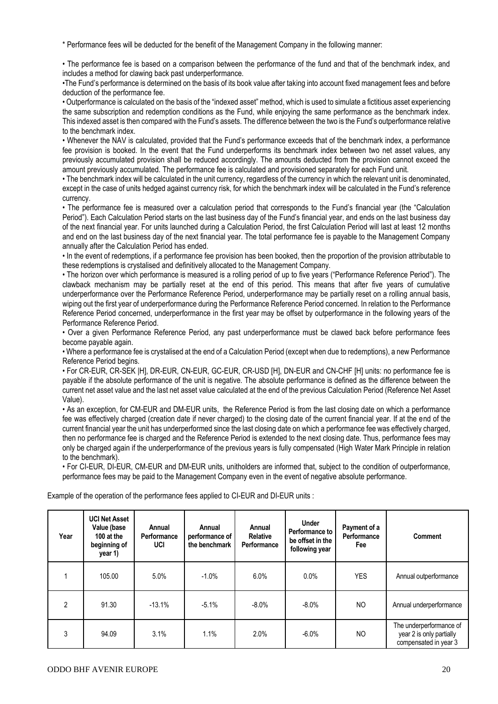\* Performance fees will be deducted for the benefit of the Management Company in the following manner:

• The performance fee is based on a comparison between the performance of the fund and that of the benchmark index, and includes a method for clawing back past underperformance.

•The Fund's performance is determined on the basis of its book value after taking into account fixed management fees and before deduction of the performance fee.

• Outperformance is calculated on the basis of the "indexed asset" method, which is used to simulate a fictitious asset experiencing the same subscription and redemption conditions as the Fund, while enjoying the same performance as the benchmark index. This indexed asset is then compared with the Fund's assets. The difference between the two is the Fund's outperformance relative to the benchmark index.

• Whenever the NAV is calculated, provided that the Fund's performance exceeds that of the benchmark index, a performance fee provision is booked. In the event that the Fund underperforms its benchmark index between two net asset values, any previously accumulated provision shall be reduced accordingly. The amounts deducted from the provision cannot exceed the amount previously accumulated. The performance fee is calculated and provisioned separately for each Fund unit.

• The benchmark index will be calculated in the unit currency, regardless of the currency in which the relevant unit is denominated, except in the case of units hedged against currency risk, for which the benchmark index will be calculated in the Fund's reference currency.

• The performance fee is measured over a calculation period that corresponds to the Fund's financial year (the "Calculation Period"). Each Calculation Period starts on the last business day of the Fund's financial year, and ends on the last business day of the next financial year. For units launched during a Calculation Period, the first Calculation Period will last at least 12 months and end on the last business day of the next financial year. The total performance fee is payable to the Management Company annually after the Calculation Period has ended.

• In the event of redemptions, if a performance fee provision has been booked, then the proportion of the provision attributable to these redemptions is crystalised and definitively allocated to the Management Company.

• The horizon over which performance is measured is a rolling period of up to five years ("Performance Reference Period"). The clawback mechanism may be partially reset at the end of this period. This means that after five years of cumulative underperformance over the Performance Reference Period, underperformance may be partially reset on a rolling annual basis, wiping out the first year of underperformance during the Performance Reference Period concerned. In relation to the Performance Reference Period concerned, underperformance in the first year may be offset by outperformance in the following years of the Performance Reference Period.

• Over a given Performance Reference Period, any past underperformance must be clawed back before performance fees become payable again.

• Where a performance fee is crystalised at the end of a Calculation Period (except when due to redemptions), a new Performance Reference Period begins.

• For CR-EUR, CR-SEK |H], DR-EUR, CN-EUR, GC-EUR, CR-USD [H], DN-EUR and CN-CHF [H] units: no performance fee is payable if the absolute performance of the unit is negative. The absolute performance is defined as the difference between the current net asset value and the last net asset value calculated at the end of the previous Calculation Period (Reference Net Asset Value).

• As an exception, for CM-EUR and DM-EUR units, the Reference Period is from the last closing date on which a performance fee was effectively charged (creation date if never charged) to the closing date of the current financial year. If at the end of the current financial year the unit has underperformed since the last closing date on which a performance fee was effectively charged, then no performance fee is charged and the Reference Period is extended to the next closing date. Thus, performance fees may only be charged again if the underperformance of the previous years is fully compensated (High Water Mark Principle in relation to the benchmark).

• For CI-EUR, DI-EUR, CM-EUR and DM-EUR units, unitholders are informed that, subject to the condition of outperformance, performance fees may be paid to the Management Company even in the event of negative absolute performance.

| Year           | <b>UCI Net Asset</b><br>Value (base<br>100 at the<br>beginning of<br>year 1) | Annual<br>Performance<br>UCI | Annual<br>performance of<br>the benchmark | Annual<br><b>Relative</b><br>Performance | <b>Under</b><br>Performance to<br>be offset in the<br>following year | Payment of a<br>Performance<br>Fee | <b>Comment</b>                                                               |
|----------------|------------------------------------------------------------------------------|------------------------------|-------------------------------------------|------------------------------------------|----------------------------------------------------------------------|------------------------------------|------------------------------------------------------------------------------|
|                | 105.00                                                                       | 5.0%                         | $-1.0%$                                   | 6.0%                                     | 0.0%                                                                 | <b>YES</b>                         | Annual outperformance                                                        |
| $\mathfrak{p}$ | 91.30                                                                        | $-13.1%$                     | $-5.1%$                                   | $-8.0\%$                                 | $-8.0\%$                                                             | NO.                                | Annual underperformance                                                      |
| 3              | 94.09                                                                        | 3.1%                         | 1.1%                                      | 2.0%                                     | $-6.0\%$                                                             | NO.                                | The underperformance of<br>year 2 is only partially<br>compensated in year 3 |

Example of the operation of the performance fees applied to CI-EUR and DI-EUR units :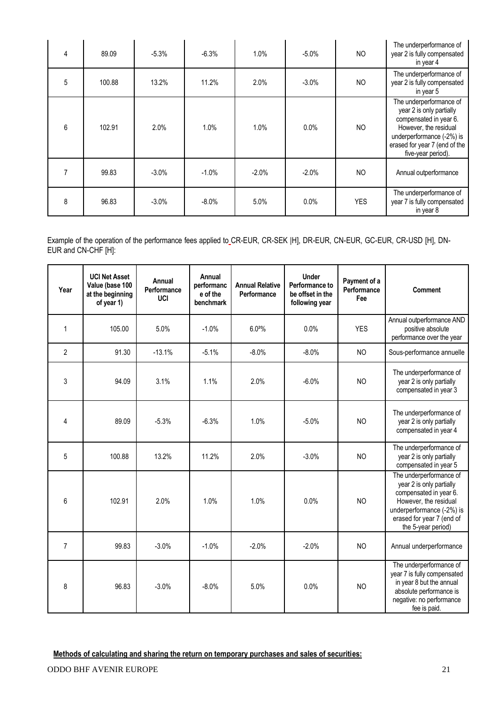| 4 | 89.09  | $-5.3%$ | $-6.3%$  | 1.0%    | $-5.0%$ | <b>NO</b>  | The underperformance of<br>year 2 is fully compensated<br>in year 4                                                                                                                        |
|---|--------|---------|----------|---------|---------|------------|--------------------------------------------------------------------------------------------------------------------------------------------------------------------------------------------|
| 5 | 100.88 | 13.2%   | 11.2%    | 2.0%    | $-3.0%$ | <b>NO</b>  | The underperformance of<br>year 2 is fully compensated<br>in year 5                                                                                                                        |
| 6 | 102.91 | 2.0%    | 1.0%     | 1.0%    | 0.0%    | <b>NO</b>  | The underperformance of<br>year 2 is only partially<br>compensated in year 6.<br>However, the residual<br>underperformance (-2%) is<br>erased for year 7 (end of the<br>five-year period). |
|   | 99.83  | $-3.0%$ | $-1.0%$  | $-2.0%$ | $-2.0%$ | <b>NO</b>  | Annual outperformance                                                                                                                                                                      |
| 8 | 96.83  | $-3.0%$ | $-8.0\%$ | 5.0%    | 0.0%    | <b>YES</b> | The underperformance of<br>year 7 is fully compensated<br>in year 8                                                                                                                        |

Example of the operation of the performance fees applied to CR-EUR, CR-SEK |H], DR-EUR, CN-EUR, GC-EUR, CR-USD [H], DN-EUR and CN-CHF [H]:

| Year           | <b>UCI Net Asset</b><br>Value (base 100<br>at the beginning<br>of year 1) | Annual<br>Performance<br><b>UCI</b> | Annual<br>performanc<br>e of the<br>benchmark | <b>Annual Relative</b><br>Performance | <b>Under</b><br>Performance to<br>be offset in the<br>following year | Payment of a<br>Performance<br>Fee | Comment                                                                                                                                                                                |
|----------------|---------------------------------------------------------------------------|-------------------------------------|-----------------------------------------------|---------------------------------------|----------------------------------------------------------------------|------------------------------------|----------------------------------------------------------------------------------------------------------------------------------------------------------------------------------------|
| $\mathbf{1}$   | 105.00                                                                    | 5.0%                                | $-1.0%$                                       | 6.02%                                 | 0.0%                                                                 | <b>YES</b>                         | Annual outperformance AND<br>positive absolute<br>performance over the year                                                                                                            |
| $\overline{2}$ | 91.30                                                                     | $-13.1%$                            | $-5.1%$                                       | $-8.0%$                               | $-8.0%$                                                              | <b>NO</b>                          | Sous-performance annuelle                                                                                                                                                              |
| 3              | 94.09                                                                     | 3.1%                                | 1.1%                                          | 2.0%                                  | $-6.0%$                                                              | <b>NO</b>                          | The underperformance of<br>year 2 is only partially<br>compensated in year 3                                                                                                           |
| $\overline{4}$ | 89.09                                                                     | $-5.3%$                             | $-6.3%$                                       | 1.0%                                  | $-5.0%$                                                              | <b>NO</b>                          | The underperformance of<br>year 2 is only partially<br>compensated in year 4                                                                                                           |
| 5              | 100.88                                                                    | 13.2%                               | 11.2%                                         | 2.0%                                  | $-3.0%$                                                              | N <sub>O</sub>                     | The underperformance of<br>year 2 is only partially<br>compensated in year 5                                                                                                           |
| 6              | 102.91                                                                    | 2.0%                                | 1.0%                                          | 1.0%                                  | 0.0%                                                                 | N <sub>O</sub>                     | The underperformance of<br>year 2 is only partially<br>compensated in year 6.<br>However, the residual<br>underperformance (-2%) is<br>erased for year 7 (end of<br>the 5-year period) |
| $\overline{7}$ | 99.83                                                                     | $-3.0%$                             | $-1.0%$                                       | $-2.0%$                               | $-2.0%$                                                              | <b>NO</b>                          | Annual underperformance                                                                                                                                                                |
| 8              | 96.83                                                                     | $-3.0%$                             | $-8.0%$                                       | 5.0%                                  | 0.0%                                                                 | <b>NO</b>                          | The underperformance of<br>year 7 is fully compensated<br>in year 8 but the annual<br>absolute performance is<br>negative: no performance<br>fee is paid.                              |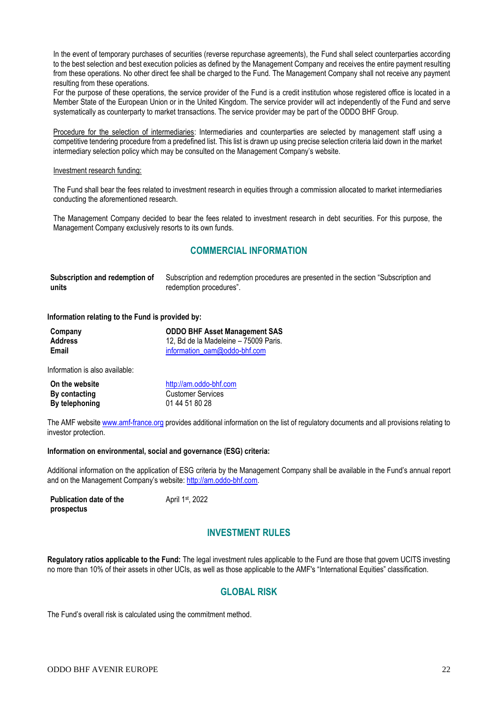In the event of temporary purchases of securities (reverse repurchase agreements), the Fund shall select counterparties according to the best selection and best execution policies as defined by the Management Company and receives the entire payment resulting from these operations. No other direct fee shall be charged to the Fund. The Management Company shall not receive any payment resulting from these operations.

For the purpose of these operations, the service provider of the Fund is a credit institution whose registered office is located in a Member State of the European Union or in the United Kingdom. The service provider will act independently of the Fund and serve systematically as counterparty to market transactions. The service provider may be part of the ODDO BHF Group.

Procedure for the selection of intermediaries: Intermediaries and counterparties are selected by management staff using a competitive tendering procedure from a predefined list. This list is drawn up using precise selection criteria laid down in the market intermediary selection policy which may be consulted on the Management Company's website.

#### Investment research funding:

The Fund shall bear the fees related to investment research in equities through a commission allocated to market intermediaries conducting the aforementioned research.

The Management Company decided to bear the fees related to investment research in debt securities. For this purpose, the Management Company exclusively resorts to its own funds.

# **COMMERCIAL INFORMATION**

| Subscription and redemption of | Subscription and redemption procedures are presented in the section "Subscription and |
|--------------------------------|---------------------------------------------------------------------------------------|
| units                          | redemption procedures".                                                               |

#### **Information relating to the Fund is provided by:**

| Company | <b>ODDO BHF Asset Management SAS</b>  |
|---------|---------------------------------------|
| Address | 12. Bd de la Madeleine – 75009 Paris. |
| Email   | information oam@oddo-bhf.com          |

Information is also available:

| On the website | http://am.oddo-bhf.com   |
|----------------|--------------------------|
| By contacting  | <b>Customer Services</b> |
| By telephoning | 01 44 51 80 28           |

The AMF website www.amf-france.org provides additional information on the list of regulatory documents and all provisions relating to investor protection.

#### **Information on environmental, social and governance (ESG) criteria:**

Additional information on the application of ESG criteria by the Management Company shall be available in the Fund's annual report and on the Management Company's website: [http://am.oddo-bhf.com.](http://am.oddo-bhf.com/)

| <b>Publication date of the</b> | April 1st, 2022 |
|--------------------------------|-----------------|
| prospectus                     |                 |

# **INVESTMENT RULES**

**Regulatory ratios applicable to the Fund:** The legal investment rules applicable to the Fund are those that govern UCITS investing no more than 10% of their assets in other UCIs, as well as those applicable to the AMF's "International Equities" classification.

# **GLOBAL RISK**

The Fund's overall risk is calculated using the commitment method.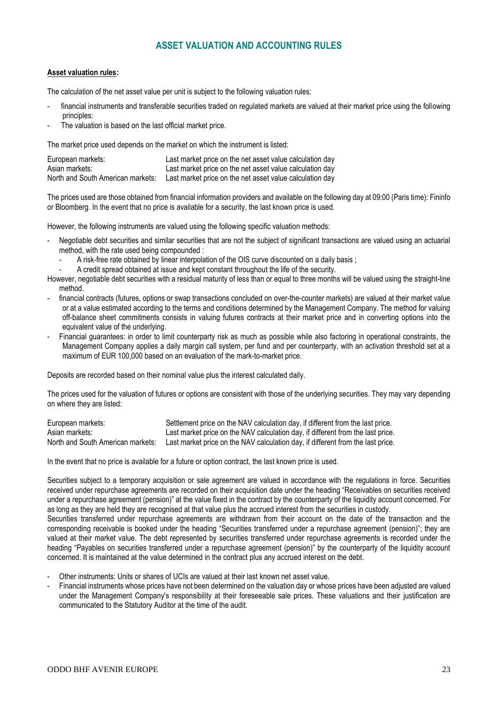# **ASSET VALUATION AND ACCOUNTING RULES**

#### **Asset valuation rules:**

The calculation of the net asset value per unit is subject to the following valuation rules:

- financial instruments and transferable securities traded on regulated markets are valued at their market price using the following principles:
- The valuation is based on the last official market price.

The market price used depends on the market on which the instrument is listed:

| European markets:                 | Last market price on the net asset value calculation day |
|-----------------------------------|----------------------------------------------------------|
| Asian markets:                    | Last market price on the net asset value calculation day |
| North and South American markets: | Last market price on the net asset value calculation day |

The prices used are those obtained from financial information providers and available on the following day at 09:00 (Paris time): Fininfo or Bloomberg. In the event that no price is available for a security, the last known price is used.

However, the following instruments are valued using the following specific valuation methods:

- Negotiable debt securities and similar securities that are not the subject of significant transactions are valued using an actuarial method, with the rate used being compounded :
	- A risk-free rate obtained by linear interpolation of the OIS curve discounted on a daily basis ;
	- A credit spread obtained at issue and kept constant throughout the life of the security.
- However, negotiable debt securities with a residual maturity of less than or equal to three months will be valued using the straight-line method.
- financial contracts (futures, options or swap transactions concluded on over-the-counter markets) are valued at their market value or at a value estimated according to the terms and conditions determined by the Management Company. The method for valuing off-balance sheet commitments consists in valuing futures contracts at their market price and in converting options into the equivalent value of the underlying.
- Financial guarantees: in order to limit counterparty risk as much as possible while also factoring in operational constraints, the Management Company applies a daily margin call system, per fund and per counterparty, with an activation threshold set at a maximum of EUR 100,000 based on an evaluation of the mark-to-market price.

Deposits are recorded based on their nominal value plus the interest calculated daily.

The prices used for the valuation of futures or options are consistent with those of the underlying securities. They may vary depending on where they are listed:

| European markets:                 | Settlement price on the NAV calculation day, if different from the last price.  |
|-----------------------------------|---------------------------------------------------------------------------------|
| Asian markets:                    | Last market price on the NAV calculation day, if different from the last price. |
| North and South American markets: | Last market price on the NAV calculation day, if different from the last price. |

In the event that no price is available for a future or option contract, the last known price is used.

Securities subject to a temporary acquisition or sale agreement are valued in accordance with the regulations in force. Securities received under repurchase agreements are recorded on their acquisition date under the heading "Receivables on securities received under a repurchase agreement (pension)" at the value fixed in the contract by the counterparty of the liquidity account concerned. For as long as they are held they are recognised at that value plus the accrued interest from the securities in custody.

Securities transferred under repurchase agreements are withdrawn from their account on the date of the transaction and the corresponding receivable is booked under the heading "Securities transferred under a repurchase agreement (pension)"; they are valued at their market value. The debt represented by securities transferred under repurchase agreements is recorded under the heading "Payables on securities transferred under a repurchase agreement (pension)" by the counterparty of the liquidity account concerned. It is maintained at the value determined in the contract plus any accrued interest on the debt.

- Other instruments: Units or shares of UCIs are valued at their last known net asset value.
- Financial instruments whose prices have not been determined on the valuation day or whose prices have been adjusted are valued under the Management Company's responsibility at their foreseeable sale prices. These valuations and their justification are communicated to the Statutory Auditor at the time of the audit.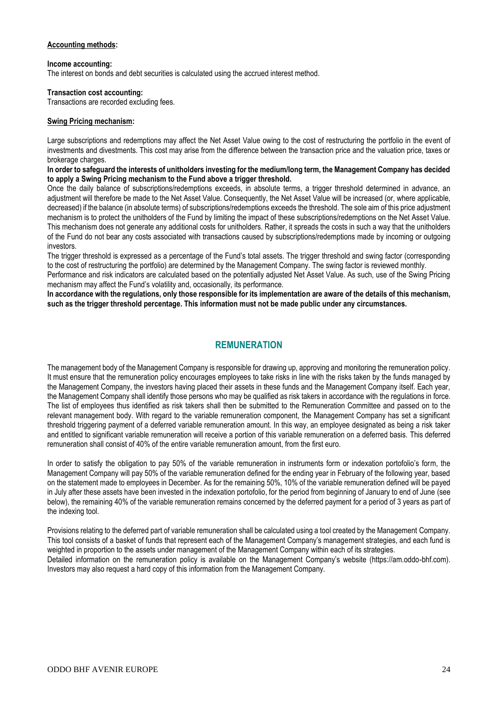#### **Accounting methods:**

#### **Income accounting:**

The interest on bonds and debt securities is calculated using the accrued interest method.

#### **Transaction cost accounting:**

Transactions are recorded excluding fees.

#### **Swing Pricing mechanism:**

Large subscriptions and redemptions may affect the Net Asset Value owing to the cost of restructuring the portfolio in the event of investments and divestments. This cost may arise from the difference between the transaction price and the valuation price, taxes or brokerage charges.

**In order to safeguard the interests of unitholders investing for the medium/long term, the Management Company has decided to apply a Swing Pricing mechanism to the Fund above a trigger threshold.**

Once the daily balance of subscriptions/redemptions exceeds, in absolute terms, a trigger threshold determined in advance, an adjustment will therefore be made to the Net Asset Value. Consequently, the Net Asset Value will be increased (or, where applicable, decreased) if the balance (in absolute terms) of subscriptions/redemptions exceeds the threshold. The sole aim of this price adjustment mechanism is to protect the unitholders of the Fund by limiting the impact of these subscriptions/redemptions on the Net Asset Value. This mechanism does not generate any additional costs for unitholders. Rather, it spreads the costs in such a way that the unitholders of the Fund do not bear any costs associated with transactions caused by subscriptions/redemptions made by incoming or outgoing investors.

The trigger threshold is expressed as a percentage of the Fund's total assets. The trigger threshold and swing factor (corresponding to the cost of restructuring the portfolio) are determined by the Management Company. The swing factor is reviewed monthly.

Performance and risk indicators are calculated based on the potentially adjusted Net Asset Value. As such, use of the Swing Pricing mechanism may affect the Fund's volatility and, occasionally, its performance.

**In accordance with the regulations, only those responsible for its implementation are aware of the details of this mechanism, such as the trigger threshold percentage. This information must not be made public under any circumstances.**

## **REMUNERATION**

The management body of the Management Company is responsible for drawing up, approving and monitoring the remuneration policy. It must ensure that the remuneration policy encourages employees to take risks in line with the risks taken by the funds managed by the Management Company, the investors having placed their assets in these funds and the Management Company itself. Each year, the Management Company shall identify those persons who may be qualified as risk takers in accordance with the regulations in force. The list of employees thus identified as risk takers shall then be submitted to the Remuneration Committee and passed on to the relevant management body. With regard to the variable remuneration component, the Management Company has set a significant threshold triggering payment of a deferred variable remuneration amount. In this way, an employee designated as being a risk taker and entitled to significant variable remuneration will receive a portion of this variable remuneration on a deferred basis. This deferred remuneration shall consist of 40% of the entire variable remuneration amount, from the first euro.

In order to satisfy the obligation to pay 50% of the variable remuneration in instruments form or indexation portofolio's form, the Management Company will pay 50% of the variable remuneration defined for the ending year in February of the following year, based on the statement made to employees in December. As for the remaining 50%, 10% of the variable remuneration defined will be payed in July after these assets have been invested in the indexation portofolio, for the period from beginning of January to end of June (see below), the remaining 40% of the variable remuneration remains concerned by the deferred payment for a period of 3 years as part of the indexing tool.

Provisions relating to the deferred part of variable remuneration shall be calculated using a tool created by the Management Company. This tool consists of a basket of funds that represent each of the Management Company's management strategies, and each fund is weighted in proportion to the assets under management of the Management Company within each of its strategies. Detailed information on the remuneration policy is available on the Management Company's website (https://am.oddo-bhf.com). Investors may also request a hard copy of this information from the Management Company.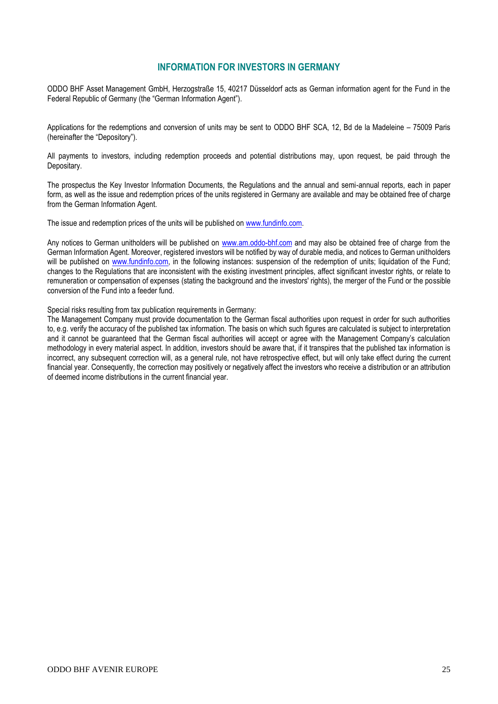## **INFORMATION FOR INVESTORS IN GERMANY**

ODDO BHF Asset Management GmbH, Herzogstraße 15, 40217 Düsseldorf acts as German information agent for the Fund in the Federal Republic of Germany (the "German Information Agent").

Applications for the redemptions and conversion of units may be sent to ODDO BHF SCA, 12, Bd de la Madeleine – 75009 Paris (hereinafter the "Depository").

All payments to investors, including redemption proceeds and potential distributions may, upon request, be paid through the Depositary.

The prospectus the Key Investor Information Documents, the Regulations and the annual and semi-annual reports, each in paper form, as well as the issue and redemption prices of the units registered in Germany are available and may be obtained free of charge from the German Information Agent.

The issue and redemption prices of the units will be published on [www.fundinfo.com.](http://www.fundinfo.com/)

Any notices to German unitholders will be published on [www.am.oddo-bhf.com](http://www.am.oddo-bhf.com/) and may also be obtained free of charge from the German Information Agent. Moreover, registered investors will be notified by way of durable media, and notices to German unitholders will be published on [www.fundinfo.com,](http://www.fundinfo.com/) in the following instances: suspension of the redemption of units; liquidation of the Fund; changes to the Regulations that are inconsistent with the existing investment principles, affect significant investor rights, or relate to remuneration or compensation of expenses (stating the background and the investors' rights), the merger of the Fund or the possible conversion of the Fund into a feeder fund.

Special risks resulting from tax publication requirements in Germany:

The Management Company must provide documentation to the German fiscal authorities upon request in order for such authorities to, e.g. verify the accuracy of the published tax information. The basis on which such figures are calculated is subject to interpretation and it cannot be guaranteed that the German fiscal authorities will accept or agree with the Management Company's calculation methodology in every material aspect. In addition, investors should be aware that, if it transpires that the published tax information is incorrect, any subsequent correction will, as a general rule, not have retrospective effect, but will only take effect during the current financial year. Consequently, the correction may positively or negatively affect the investors who receive a distribution or an attribution of deemed income distributions in the current financial year.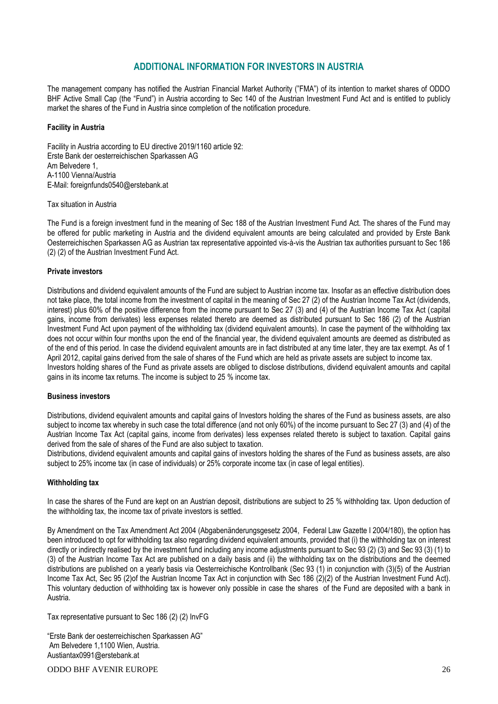# **ADDITIONAL INFORMATION FOR INVESTORS IN AUSTRIA**

The management company has notified the Austrian Financial Market Authority ("FMA") of its intention to market shares of ODDO BHF Active Small Cap (the "Fund") in Austria according to Sec 140 of the Austrian Investment Fund Act and is entitled to publicly market the shares of the Fund in Austria since completion of the notification procedure.

#### **Facility in Austria**

Facility in Austria according to EU directive 2019/1160 article 92: Erste Bank der oesterreichischen Sparkassen AG Am Belvedere 1, A-1100 Vienna/Austria E-Mail: foreignfunds0540@erstebank.at

#### Tax situation in Austria

The Fund is a foreign investment fund in the meaning of Sec 188 of the Austrian Investment Fund Act. The shares of the Fund may be offered for public marketing in Austria and the dividend equivalent amounts are being calculated and provided by Erste Bank Oesterreichischen Sparkassen AG as Austrian tax representative appointed vis-à-vis the Austrian tax authorities pursuant to Sec 186 (2) (2) of the Austrian Investment Fund Act.

#### **Private investors**

Distributions and dividend equivalent amounts of the Fund are subject to Austrian income tax. Insofar as an effective distribution does not take place, the total income from the investment of capital in the meaning of Sec 27 (2) of the Austrian Income Tax Act (dividends, interest) plus 60% of the positive difference from the income pursuant to Sec 27 (3) and (4) of the Austrian Income Tax Act (capital gains, income from derivates) less expenses related thereto are deemed as distributed pursuant to Sec 186 (2) of the Austrian Investment Fund Act upon payment of the withholding tax (dividend equivalent amounts). In case the payment of the withholding tax does not occur within four months upon the end of the financial year, the dividend equivalent amounts are deemed as distributed as of the end of this period. In case the dividend equivalent amounts are in fact distributed at any time later, they are tax exempt. As of 1 April 2012, capital gains derived from the sale of shares of the Fund which are held as private assets are subject to income tax. Investors holding shares of the Fund as private assets are obliged to disclose distributions, dividend equivalent amounts and capital gains in its income tax returns. The income is subject to 25 % income tax.

#### **Business investors**

Distributions, dividend equivalent amounts and capital gains of Investors holding the shares of the Fund as business assets, are also subject to income tax whereby in such case the total difference (and not only 60%) of the income pursuant to Sec 27 (3) and (4) of the Austrian Income Tax Act (capital gains, income from derivates) less expenses related thereto is subject to taxation. Capital gains derived from the sale of shares of the Fund are also subject to taxation.

Distributions, dividend equivalent amounts and capital gains of investors holding the shares of the Fund as business assets, are also subject to 25% income tax (in case of individuals) or 25% corporate income tax (in case of legal entities).

#### **Withholding tax**

In case the shares of the Fund are kept on an Austrian deposit, distributions are subject to 25 % withholding tax. Upon deduction of the withholding tax, the income tax of private investors is settled.

By Amendment on the Tax Amendment Act 2004 (Abgabenänderungsgesetz 2004, Federal Law Gazette I 2004/180), the option has been introduced to opt for withholding tax also regarding dividend equivalent amounts, provided that (i) the withholding tax on interest directly or indirectly realised by the investment fund including any income adjustments pursuant to Sec 93 (2) (3) and Sec 93 (3) (1) to (3) of the Austrian Income Tax Act are published on a daily basis and (ii) the withholding tax on the distributions and the deemed distributions are published on a yearly basis via Oesterreichische Kontrollbank (Sec 93 (1) in conjunction with (3)(5) of the Austrian Income Tax Act, Sec 95 (2)of the Austrian Income Tax Act in conjunction with Sec 186 (2)(2) of the Austrian Investment Fund Act). This voluntary deduction of withholding tax is however only possible in case the shares of the Fund are deposited with a bank in Austria.

Tax representative pursuant to Sec 186 (2) (2) InvFG

"Erste Bank der oesterreichischen Sparkassen AG" Am Belvedere 1,1100 Wien, Austria. Austiantax0991@erstebank.at

ODDO BHF AVENIR EUROPE 26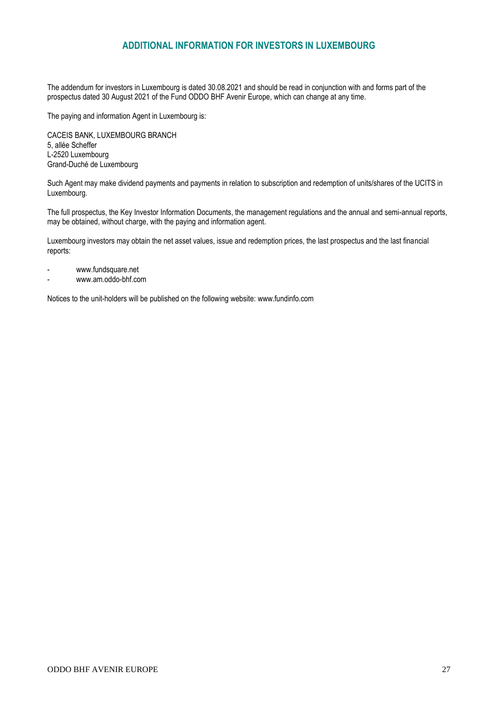# **ADDITIONAL INFORMATION FOR INVESTORS IN LUXEMBOURG**

The addendum for investors in Luxembourg is dated 30.08.2021 and should be read in conjunction with and forms part of the prospectus dated 30 August 2021 of the Fund ODDO BHF Avenir Europe, which can change at any time.

The paying and information Agent in Luxembourg is:

CACEIS BANK, LUXEMBOURG BRANCH 5, allée Scheffer L-2520 Luxembourg Grand-Duché de Luxembourg

Such Agent may make dividend payments and payments in relation to subscription and redemption of units/shares of the UCITS in Luxembourg.

The full prospectus, the Key Investor Information Documents, the management regulations and the annual and semi-annual reports, may be obtained, without charge, with the paying and information agent.

Luxembourg investors may obtain the net asset values, issue and redemption prices, the last prospectus and the last financial reports:

- [www.fundsquare.net](http://www.fundsquare.net/)
- [www.am.oddo-bhf.com](http://www.am.oddo-bhf.com/)

Notices to the unit-holders will be published on the following website: [www.fundinfo.com](http://www.fundinfo.com/)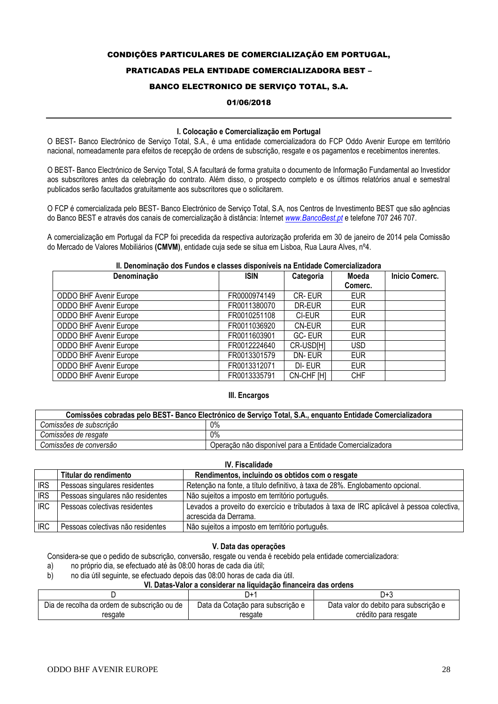#### CONDIÇÕES PARTICULARES DE COMERCIALIZAÇÃO EM PORTUGAL,

#### PRATICADAS PELA ENTIDADE COMERCIALIZADORA BEST –

#### BANCO ELECTRONICO DE SERVIÇO TOTAL, S.A.

#### 01/06/2018

#### **I. Colocação e Comercialização em Portugal**

O BEST- Banco Electrónico de Serviço Total, S.A., é uma entidade comercializadora do FCP Oddo Avenir Europe em território nacional, nomeadamente para efeitos de recepção de ordens de subscrição, resgate e os pagamentos e recebimentos inerentes.

O BEST- Banco Electrónico de Serviço Total, S.A facultará de forma gratuita o documento de Informação Fundamental ao Investidor aos subscritores antes da celebração do contrato. Além disso, o prospecto completo e os últimos relatórios anual e semestral publicados serão facultados gratuitamente aos subscritores que o solicitarem.

O FCP é comercializada pelo BEST- Banco Electrónico de Serviço Total, S.A, nos Centros de Investimento BEST que são agências do Banco BEST e através dos canais de comercialização à distância: Internet *[www.BancoBest.pt](http://www.bancobest.pt/)* e telefone 707 246 707.

A comercialização em Portugal da FCP foi precedida da respectiva autorização proferida em 30 de janeiro de 2014 pela Comissão do Mercado de Valores Mobiliários **(CMVM)**, entidade cuja sede se situa em Lisboa, Rua Laura Alves, nº4.

#### **II. Denominação dos Fundos e classes disponíveis na Entidade Comercializadora**

| Denominação                   | <b>ISIN</b>  | Categoria  | Moeda      | <b>Inicio Comerc.</b> |
|-------------------------------|--------------|------------|------------|-----------------------|
|                               |              |            | Comerc.    |                       |
| ODDO BHF Avenir Europe        | FR0000974149 | CR-EUR     | <b>EUR</b> |                       |
| <b>ODDO BHF Avenir Europe</b> | FR0011380070 | DR-EUR     | <b>EUR</b> |                       |
| <b>ODDO BHF Avenir Europe</b> | FR0010251108 | CI-EUR     | <b>EUR</b> |                       |
| <b>ODDO BHF Avenir Europe</b> | FR0011036920 | CN-EUR     | <b>EUR</b> |                       |
| <b>ODDO BHF Avenir Europe</b> | FR0011603901 | GC-EUR     | <b>EUR</b> |                       |
| <b>ODDO BHF Avenir Europe</b> | FR0012224640 | CR-USD[H]  | <b>USD</b> |                       |
| <b>ODDO BHF Avenir Europe</b> | FR0013301579 | DN-EUR     | <b>EUR</b> |                       |
| <b>ODDO BHF Avenir Europe</b> | FR0013312071 | DI-EUR     | <b>EUR</b> |                       |
| <b>ODDO BHF Avenir Europe</b> | FR0013335791 | CN-CHF [H] | <b>CHF</b> |                       |

#### **III. Encargos**

| Comissões cobradas pelo BEST- Banco Electrónico de Serviço Total, S.A., enquanto Entidade Comercializadora |                                                          |  |  |  |
|------------------------------------------------------------------------------------------------------------|----------------------------------------------------------|--|--|--|
| Comissões de subscrição                                                                                    | 0%                                                       |  |  |  |
| Comissões de resgate                                                                                       | $0\%$                                                    |  |  |  |
| Comissões de conversão                                                                                     | Operação não disponível para a Entidade Comercializadora |  |  |  |

#### **IV. Fiscalidade**

|            | Titular do rendimento             | Rendimentos, incluindo os obtidos com o resgate                                                                   |
|------------|-----------------------------------|-------------------------------------------------------------------------------------------------------------------|
| <b>IRS</b> | Pessoas singulares residentes     | Retenção na fonte, a título definitivo, à taxa de 28%. Englobamento opcional.                                     |
| <b>IRS</b> | Pessoas singulares não residentes | Não sujeitos a imposto em território português.                                                                   |
| IRC.       | Pessoas colectivas residentes     | Levados a proveito do exercício e tributados à taxa de IRC aplicável à pessoa colectiva,<br>acrescida da Derrama. |
| <b>IRC</b> | Pessoas colectivas não residentes | Não sujeitos a imposto em território português.                                                                   |

#### **V. Data das operações**

Considera-se que o pedido de subscrição, conversão, resgate ou venda é recebido pela entidade comercializadora:

a) no próprio dia, se efectuado até às 08:00 horas de cada dia útil;

b) no dia útil seguinte, se efectuado depois das 08:00 horas de cada dia útil.

# **VI. Datas-Valor a considerar na liquidação financeira das ordens**

|                                             | ∵+ل                               | J+3                                    |
|---------------------------------------------|-----------------------------------|----------------------------------------|
| Dia de recolha da ordem de subscrição ou de | Data da Cotação para subscrição e | Data valor do debito para subscrição e |
| resgate                                     | resgate                           | crédito para resgate                   |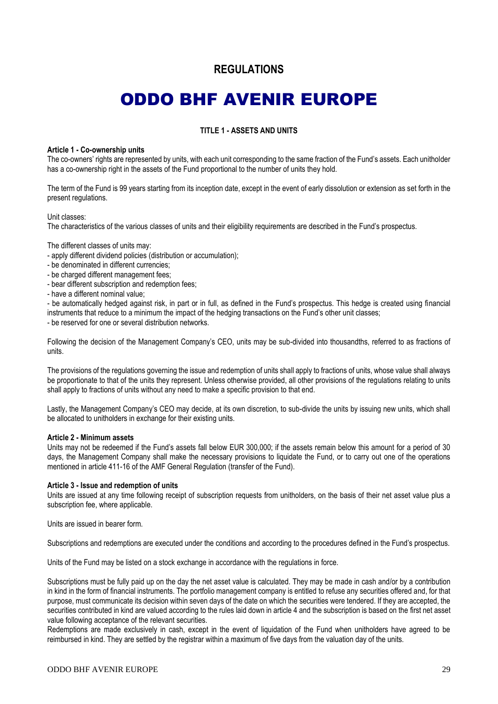# **REGULATIONS**

# ODDO BHF AVENIR EUROPE

#### **TITLE 1 - ASSETS AND UNITS**

#### **Article 1 - Co-ownership units**

The co-owners' rights are represented by units, with each unit corresponding to the same fraction of the Fund's assets. Each unitholder has a co-ownership right in the assets of the Fund proportional to the number of units they hold.

The term of the Fund is 99 years starting from its inception date, except in the event of early dissolution or extension as set forth in the present regulations.

#### Unit classes:

The characteristics of the various classes of units and their eligibility requirements are described in the Fund's prospectus.

The different classes of units may:

- apply different dividend policies (distribution or accumulation);
- be denominated in different currencies;
- be charged different management fees;
- bear different subscription and redemption fees;
- have a different nominal value;

- be automatically hedged against risk, in part or in full, as defined in the Fund's prospectus. This hedge is created using financial instruments that reduce to a minimum the impact of the hedging transactions on the Fund's other unit classes;

- be reserved for one or several distribution networks.

Following the decision of the Management Company's CEO, units may be sub-divided into thousandths, referred to as fractions of units.

The provisions of the regulations governing the issue and redemption of units shall apply to fractions of units, whose value shall always be proportionate to that of the units they represent. Unless otherwise provided, all other provisions of the regulations relating to units shall apply to fractions of units without any need to make a specific provision to that end.

Lastly, the Management Company's CEO may decide, at its own discretion, to sub-divide the units by issuing new units, which shall be allocated to unitholders in exchange for their existing units.

#### **Article 2 - Minimum assets**

Units may not be redeemed if the Fund's assets fall below EUR 300,000; if the assets remain below this amount for a period of 30 days, the Management Company shall make the necessary provisions to liquidate the Fund, or to carry out one of the operations mentioned in article 411-16 of the AMF General Regulation (transfer of the Fund).

#### **Article 3 - Issue and redemption of units**

Units are issued at any time following receipt of subscription requests from unitholders, on the basis of their net asset value plus a subscription fee, where applicable.

Units are issued in bearer form.

Subscriptions and redemptions are executed under the conditions and according to the procedures defined in the Fund's prospectus.

Units of the Fund may be listed on a stock exchange in accordance with the regulations in force.

Subscriptions must be fully paid up on the day the net asset value is calculated. They may be made in cash and/or by a contribution in kind in the form of financial instruments. The portfolio management company is entitled to refuse any securities offered and, for that purpose, must communicate its decision within seven days of the date on which the securities were tendered. If they are accepted, the securities contributed in kind are valued according to the rules laid down in article 4 and the subscription is based on the first net asset value following acceptance of the relevant securities.

Redemptions are made exclusively in cash, except in the event of liquidation of the Fund when unitholders have agreed to be reimbursed in kind. They are settled by the registrar within a maximum of five days from the valuation day of the units.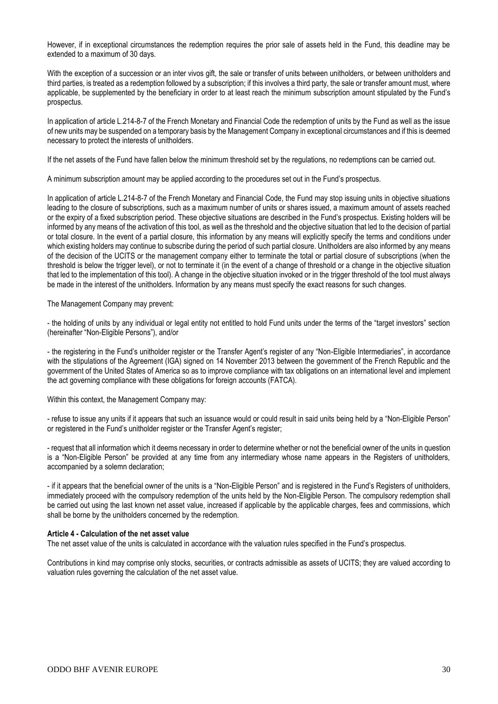However, if in exceptional circumstances the redemption requires the prior sale of assets held in the Fund, this deadline may be extended to a maximum of 30 days.

With the exception of a succession or an inter vivos gift, the sale or transfer of units between unitholders, or between unitholders and third parties, is treated as a redemption followed by a subscription; if this involves a third party, the sale or transfer amount must, where applicable, be supplemented by the beneficiary in order to at least reach the minimum subscription amount stipulated by the Fund's prospectus.

In application of article L.214-8-7 of the French Monetary and Financial Code the redemption of units by the Fund as well as the issue of new units may be suspended on a temporary basis by the Management Company in exceptional circumstances and if this is deemed necessary to protect the interests of unitholders.

If the net assets of the Fund have fallen below the minimum threshold set by the regulations, no redemptions can be carried out.

A minimum subscription amount may be applied according to the procedures set out in the Fund's prospectus.

In application of article L.214-8-7 of the French Monetary and Financial Code, the Fund may stop issuing units in objective situations leading to the closure of subscriptions, such as a maximum number of units or shares issued, a maximum amount of assets reached or the expiry of a fixed subscription period. These objective situations are described in the Fund's prospectus. Existing holders will be informed by any means of the activation of this tool, as well as the threshold and the objective situation that led to the decision of partial or total closure. In the event of a partial closure, this information by any means will explicitly specify the terms and conditions under which existing holders may continue to subscribe during the period of such partial closure. Unitholders are also informed by any means of the decision of the UCITS or the management company either to terminate the total or partial closure of subscriptions (when the threshold is below the trigger level), or not to terminate it (in the event of a change of threshold or a change in the objective situation that led to the implementation of this tool). A change in the objective situation invoked or in the trigger threshold of the tool must always be made in the interest of the unitholders. Information by any means must specify the exact reasons for such changes.

The Management Company may prevent:

- the holding of units by any individual or legal entity not entitled to hold Fund units under the terms of the "target investors" section (hereinafter "Non-Eligible Persons"), and/or

- the registering in the Fund's unitholder register or the Transfer Agent's register of any "Non-Eligible Intermediaries", in accordance with the stipulations of the Agreement (IGA) signed on 14 November 2013 between the government of the French Republic and the government of the United States of America so as to improve compliance with tax obligations on an international level and implement the act governing compliance with these obligations for foreign accounts (FATCA).

Within this context, the Management Company may:

- refuse to issue any units if it appears that such an issuance would or could result in said units being held by a "Non-Eligible Person" or registered in the Fund's unitholder register or the Transfer Agent's register;

- request that all information which it deems necessary in order to determine whether or not the beneficial owner of the units in question is a "Non-Eligible Person" be provided at any time from any intermediary whose name appears in the Registers of unitholders, accompanied by a solemn declaration;

- if it appears that the beneficial owner of the units is a "Non-Eligible Person" and is registered in the Fund's Registers of unitholders, immediately proceed with the compulsory redemption of the units held by the Non-Eligible Person. The compulsory redemption shall be carried out using the last known net asset value, increased if applicable by the applicable charges, fees and commissions, which shall be borne by the unitholders concerned by the redemption.

#### **Article 4 - Calculation of the net asset value**

The net asset value of the units is calculated in accordance with the valuation rules specified in the Fund's prospectus.

Contributions in kind may comprise only stocks, securities, or contracts admissible as assets of UCITS; they are valued according to valuation rules governing the calculation of the net asset value.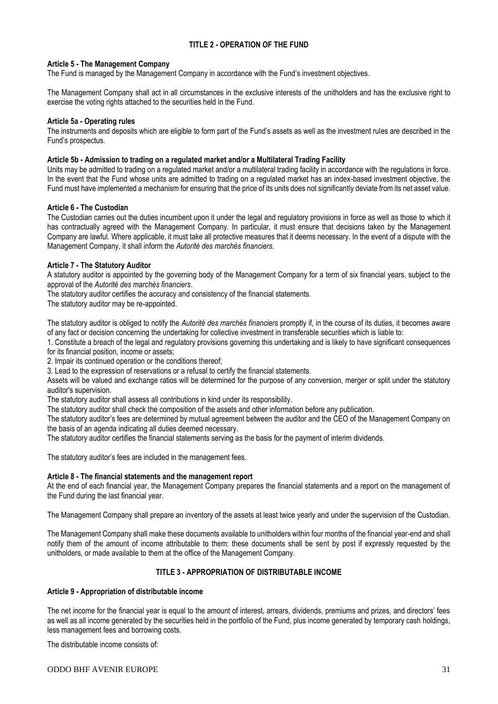### **TITLE 2 - OPERATION OF THE FUND**

#### **Article 5 - The Management Company**

The Fund is managed by the Management Company in accordance with the Fund's investment objectives.

The Management Company shall act in all circumstances in the exclusive interests of the unitholders and has the exclusive right to exercise the voting rights attached to the securities held in the Fund.

#### **Article 5a - Operating rules**

The instruments and deposits which are eligible to form part of the Fund's assets as well as the investment rules are described in the Fund's prospectus.

#### **Article 5b - Admission to trading on a regulated market and/or a Multilateral Trading Facility**

Units may be admitted to trading on a regulated market and/or a multilateral trading facility in accordance with the regulations in force. In the event that the Fund whose units are admitted to trading on a regulated market has an index-based investment objective, the Fund must have implemented a mechanism for ensuring that the price of its units does not significantly deviate from its net asset value.

#### **Article 6 - The Custodian**

The Custodian carries out the duties incumbent upon it under the legal and regulatory provisions in force as well as those to which it has contractually agreed with the Management Company. In particular, it must ensure that decisions taken by the Management Company are lawful. Where applicable, it must take all protective measures that it deems necessary. In the event of a dispute with the Management Company, it shall inform the *Autorité des marchés financiers*.

#### **Article 7 - The Statutory Auditor**

A statutory auditor is appointed by the governing body of the Management Company for a term of six financial years, subject to the approval of the *Autorité des marchés financiers*.

The statutory auditor certifies the accuracy and consistency of the financial statements.

The statutory auditor may be re-appointed.

The statutory auditor is obliged to notify the *Autorité des marchés financiers* promptly if, in the course of its duties, it becomes aware of any fact or decision concerning the undertaking for collective investment in transferable securities which is liable to:

1. Constitute a breach of the legal and regulatory provisions governing this undertaking and is likely to have significant consequences for its financial position, income or assets;

2. Impair its continued operation or the conditions thereof;

3. Lead to the expression of reservations or a refusal to certify the financial statements.

Assets will be valued and exchange ratios will be determined for the purpose of any conversion, merger or split under the statutory auditor's supervision.

The statutory auditor shall assess all contributions in kind under its responsibility.

The statutory auditor shall check the composition of the assets and other information before any publication.

The statutory auditor's fees are determined by mutual agreement between the auditor and the CEO of the Management Company on the basis of an agenda indicating all duties deemed necessary.

The statutory auditor certifies the financial statements serving as the basis for the payment of interim dividends.

The statutory auditor's fees are included in the management fees.

### **Article 8 - The financial statements and the management report**

At the end of each financial year, the Management Company prepares the financial statements and a report on the management of the Fund during the last financial year.

The Management Company shall prepare an inventory of the assets at least twice yearly and under the supervision of the Custodian.

The Management Company shall make these documents available to unitholders within four months of the financial year-end and shall notify them of the amount of income attributable to them: these documents shall be sent by post if expressly requested by the unitholders, or made available to them at the office of the Management Company.

### **TITLE 3 - APPROPRIATION OF DISTRIBUTABLE INCOME**

#### **Article 9** *-* **Appropriation of distributable income**

The net income for the financial year is equal to the amount of interest, arrears, dividends, premiums and prizes, and directors' fees as well as all income generated by the securities held in the portfolio of the Fund, plus income generated by temporary cash holdings, less management fees and borrowing costs.

The distributable income consists of:

#### ODDO BHF AVENIR EUROPE 31